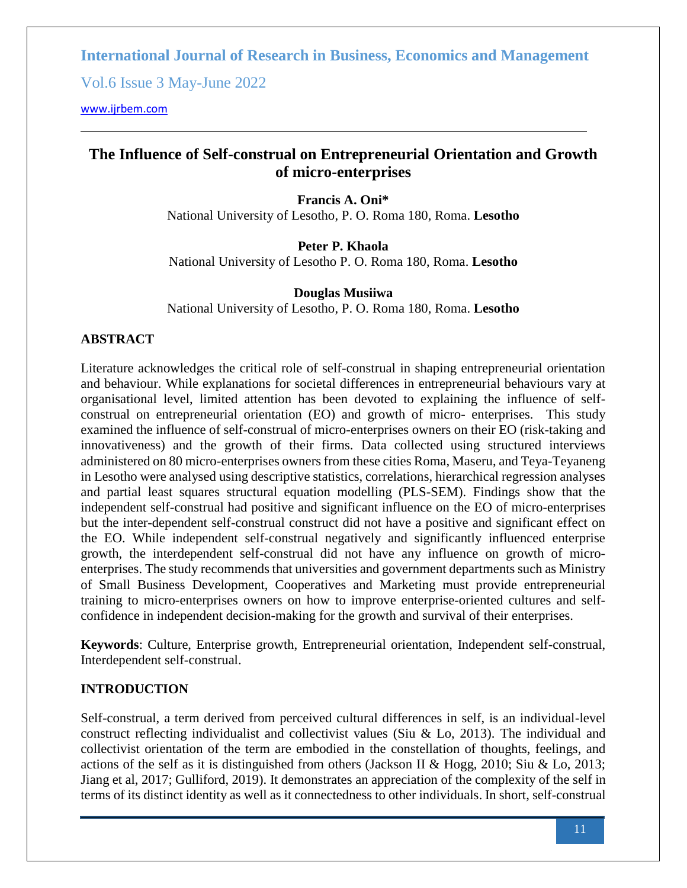Vol.6 Issue 3 May-June 2022

[www.ijrbem.com](file:///G:/New%20folder%20(2)/New%20folder/IJRBEM/pepar/2019/May-June/BEM361%20pub/www.ijrbem.com)

# **The Influence of Self-construal on Entrepreneurial Orientation and Growth of micro-enterprises**

**Francis A. Oni\*** National University of Lesotho, P. O. Roma 180, Roma. **Lesotho**

**Peter P. Khaola** National University of Lesotho P. O. Roma 180, Roma. **Lesotho**

**Douglas Musiiwa** National University of Lesotho, P. O. Roma 180, Roma. **Lesotho**

# **ABSTRACT**

Literature acknowledges the critical role of self-construal in shaping entrepreneurial orientation and behaviour. While explanations for societal differences in entrepreneurial behaviours vary at organisational level, limited attention has been devoted to explaining the influence of selfconstrual on entrepreneurial orientation (EO) and growth of micro- enterprises. This study examined the influence of self-construal of micro-enterprises owners on their EO (risk-taking and innovativeness) and the growth of their firms. Data collected using structured interviews administered on 80 micro-enterprises owners from these cities Roma, Maseru, and Teya-Teyaneng in Lesotho were analysed using descriptive statistics, correlations, hierarchical regression analyses and partial least squares structural equation modelling (PLS-SEM). Findings show that the independent self-construal had positive and significant influence on the EO of micro-enterprises but the inter-dependent self-construal construct did not have a positive and significant effect on the EO. While independent self-construal negatively and significantly influenced enterprise growth, the interdependent self-construal did not have any influence on growth of microenterprises. The study recommends that universities and government departments such as Ministry of Small Business Development, Cooperatives and Marketing must provide entrepreneurial training to micro-enterprises owners on how to improve enterprise-oriented cultures and selfconfidence in independent decision-making for the growth and survival of their enterprises.

**Keywords**: Culture, Enterprise growth, Entrepreneurial orientation, Independent self-construal, Interdependent self-construal.

### **INTRODUCTION**

Self-construal, a term derived from perceived cultural differences in self, is an individual-level construct reflecting individualist and collectivist values (Siu & Lo, 2013). The individual and collectivist orientation of the term are embodied in the constellation of thoughts, feelings, and actions of the self as it is distinguished from others (Jackson II & Hogg, 2010; Siu & Lo, 2013; Jiang et al, 2017; Gulliford, 2019). It demonstrates an appreciation of the complexity of the self in terms of its distinct identity as well as it connectedness to other individuals. In short, self-construal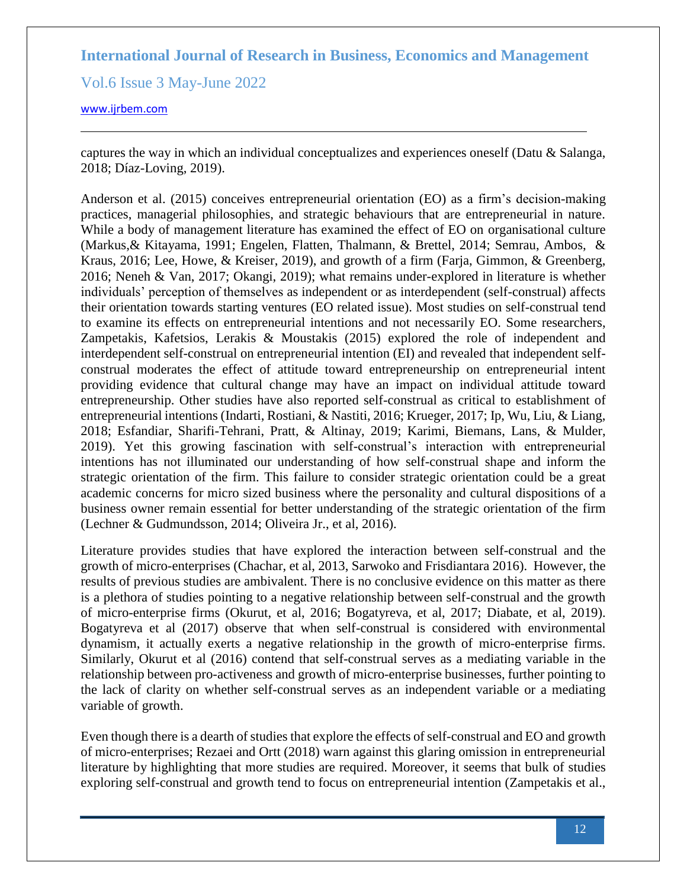Vol.6 Issue 3 May-June 2022

#### [www.ijrbem.com](file:///G:/New%20folder%20(2)/New%20folder/IJRBEM/pepar/2019/May-June/BEM361%20pub/www.ijrbem.com)

captures the way in which an individual conceptualizes and experiences oneself (Datu & Salanga, 2018; Díaz-Loving, 2019).

Anderson et al. (2015) conceives entrepreneurial orientation (EO) as a firm's decision-making practices, managerial philosophies, and strategic behaviours that are entrepreneurial in nature. While a body of management literature has examined the effect of EO on organisational culture (Markus,& Kitayama, 1991; Engelen, Flatten, Thalmann, & Brettel, 2014; Semrau, Ambos, & Kraus, 2016; Lee, Howe, & Kreiser, 2019), and growth of a firm (Farja, Gimmon, & Greenberg, 2016; Neneh & Van, 2017; Okangi, 2019); what remains under-explored in literature is whether individuals' perception of themselves as independent or as interdependent (self-construal) affects their orientation towards starting ventures (EO related issue). Most studies on self-construal tend to examine its effects on entrepreneurial intentions and not necessarily EO. Some researchers, Zampetakis, Kafetsios, Lerakis & Moustakis (2015) explored the role of independent and interdependent self-construal on entrepreneurial intention (EI) and revealed that independent selfconstrual moderates the effect of attitude toward entrepreneurship on entrepreneurial intent providing evidence that cultural change may have an impact on individual attitude toward entrepreneurship. Other studies have also reported self-construal as critical to establishment of entrepreneurial intentions (Indarti, Rostiani, & Nastiti, 2016; Krueger, 2017; Ip, Wu, Liu, & Liang, 2018; Esfandiar, Sharifi-Tehrani, Pratt, & Altinay, 2019; Karimi, Biemans, Lans, & Mulder, 2019). Yet this growing fascination with self-construal's interaction with entrepreneurial intentions has not illuminated our understanding of how self-construal shape and inform the strategic orientation of the firm. This failure to consider strategic orientation could be a great academic concerns for micro sized business where the personality and cultural dispositions of a business owner remain essential for better understanding of the strategic orientation of the firm (Lechner & Gudmundsson, 2014; Oliveira Jr., et al, 2016).

Literature provides studies that have explored the interaction between self-construal and the growth of micro-enterprises (Chachar, et al, 2013, Sarwoko and Frisdiantara 2016). However, the results of previous studies are ambivalent. There is no conclusive evidence on this matter as there is a plethora of studies pointing to a negative relationship between self-construal and the growth of micro-enterprise firms (Okurut, et al, 2016; Bogatyreva, et al, 2017; Diabate, et al, 2019). Bogatyreva et al (2017) observe that when self-construal is considered with environmental dynamism, it actually exerts a negative relationship in the growth of micro-enterprise firms. Similarly, Okurut et al (2016) contend that self-construal serves as a mediating variable in the relationship between pro-activeness and growth of micro-enterprise businesses, further pointing to the lack of clarity on whether self-construal serves as an independent variable or a mediating variable of growth.

Even though there is a dearth of studies that explore the effects of self-construal and EO and growth of micro-enterprises; Rezaei and Ortt (2018) warn against this glaring omission in entrepreneurial literature by highlighting that more studies are required. Moreover, it seems that bulk of studies exploring self-construal and growth tend to focus on entrepreneurial intention (Zampetakis et al.,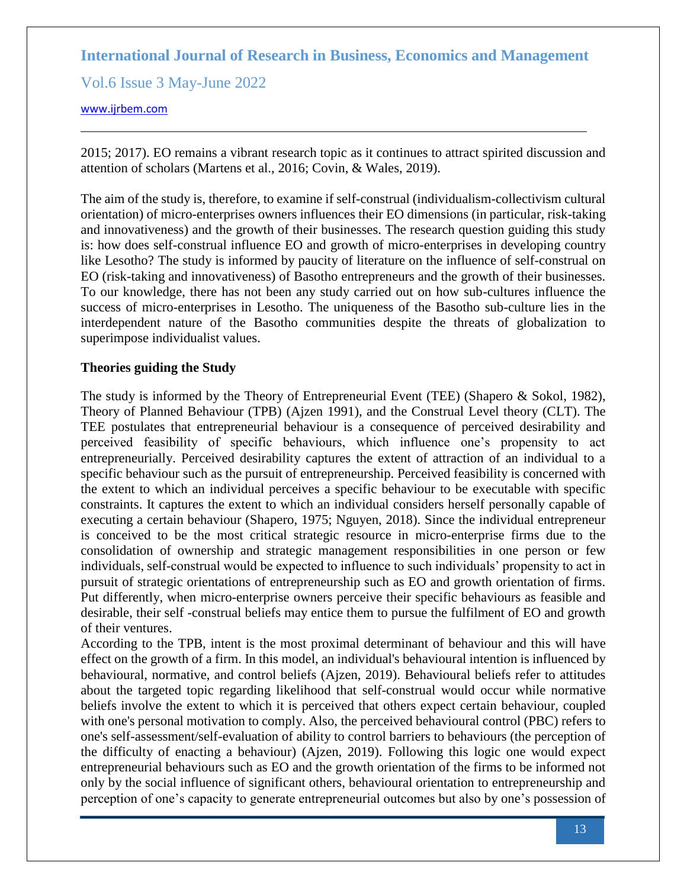Vol.6 Issue 3 May-June 2022

#### [www.ijrbem.com](file:///G:/New%20folder%20(2)/New%20folder/IJRBEM/pepar/2019/May-June/BEM361%20pub/www.ijrbem.com)

2015; 2017). EO remains a vibrant research topic as it continues to attract spirited discussion and attention of scholars [\(Martens et al., 2016;](https://journals.sagepub.com/doi/10.1177/1042258718773181) Covin, & Wales, 2019).

The aim of the study is, therefore, to examine if self-construal (individualism-collectivism cultural orientation) of micro-enterprises owners influences their EO dimensions (in particular, risk-taking and innovativeness) and the growth of their businesses. The research question guiding this study is: how does self-construal influence EO and growth of micro-enterprises in developing country like Lesotho? The study is informed by paucity of literature on the influence of self-construal on EO (risk-taking and innovativeness) of Basotho entrepreneurs and the growth of their businesses. To our knowledge, there has not been any study carried out on how sub-cultures influence the success of micro-enterprises in Lesotho. The uniqueness of the Basotho sub-culture lies in the interdependent nature of the Basotho communities despite the threats of globalization to superimpose individualist values.

#### **Theories guiding the Study**

The study is informed by the Theory of Entrepreneurial Event (TEE) (Shapero & Sokol, 1982), Theory of Planned Behaviour (TPB) (Ajzen 1991), and the Construal Level theory (CLT). The TEE postulates that entrepreneurial behaviour is a consequence of perceived desirability and perceived feasibility of specific behaviours, which influence one's propensity to act entrepreneurially. Perceived desirability captures the extent of attraction of an individual to a specific behaviour such as the pursuit of entrepreneurship. Perceived feasibility is concerned with the extent to which an individual perceives a specific behaviour to be executable with specific constraints. It captures the extent to which an individual considers herself personally capable of executing a certain behaviour (Shapero, 1975; Nguyen, 2018). Since the individual entrepreneur is conceived to be the most critical strategic resource in micro-enterprise firms due to the consolidation of ownership and strategic management responsibilities in one person or few individuals, self-construal would be expected to influence to such individuals' propensity to act in pursuit of strategic orientations of entrepreneurship such as EO and growth orientation of firms. Put differently, when micro-enterprise owners perceive their specific behaviours as feasible and desirable, their self -construal beliefs may entice them to pursue the fulfilment of EO and growth of their ventures.

According to the TPB, intent is the most proximal determinant of behaviour and this will have effect on the growth of a firm. In this model, an individual's behavioural intention is influenced by behavioural, normative, and control beliefs (Ajzen, 2019). Behavioural beliefs refer to attitudes about the targeted topic regarding likelihood that self-construal would occur while normative beliefs involve the extent to which it is perceived that others expect certain behaviour, coupled with one's personal motivation to comply. Also, the perceived behavioural control (PBC) refers to one's self-assessment/self-evaluation of ability to control barriers to behaviours (the perception of the difficulty of enacting a behaviour) (Ajzen, 2019). Following this logic one would expect entrepreneurial behaviours such as EO and the growth orientation of the firms to be informed not only by the social influence of significant others, behavioural orientation to entrepreneurship and perception of one's capacity to generate entrepreneurial outcomes but also by one's possession of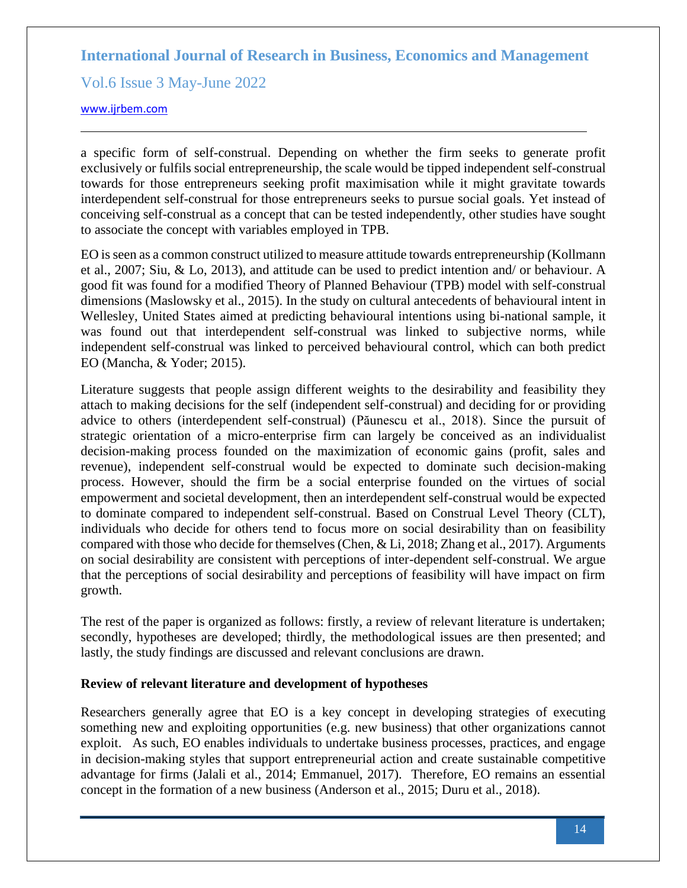Vol.6 Issue 3 May-June 2022

#### [www.ijrbem.com](file:///G:/New%20folder%20(2)/New%20folder/IJRBEM/pepar/2019/May-June/BEM361%20pub/www.ijrbem.com)

a specific form of self-construal. Depending on whether the firm seeks to generate profit exclusively or fulfils social entrepreneurship, the scale would be tipped independent self-construal towards for those entrepreneurs seeking profit maximisation while it might gravitate towards interdependent self-construal for those entrepreneurs seeks to pursue social goals. Yet instead of conceiving self-construal as a concept that can be tested independently, other studies have sought to associate the concept with variables employed in TPB.

EO is seen as a common construct utilized to measure attitude towards entrepreneurship (Kollmann et al., 2007; Siu, & Lo, 2013), and attitude can be used to predict intention and/ or behaviour. A good fit was found for a modified Theory of Planned Behaviour (TPB) model with self-construal dimensions (Maslowsky et al., 2015). In the study on cultural antecedents of behavioural intent in Wellesley, United States aimed at predicting behavioural intentions using bi-national sample, it was found out that interdependent self-construal was linked to subjective norms, while independent self-construal was linked to perceived behavioural control, which can both predict EO (Mancha, & Yoder; 2015).

Literature suggests that people assign different weights to the desirability and feasibility they attach to making decisions for the self (independent self-construal) and deciding for or providing advice to others (interdependent self-construal) (Păunescu et al., 2018). Since the pursuit of strategic orientation of a micro-enterprise firm can largely be conceived as an individualist decision-making process founded on the maximization of economic gains (profit, sales and revenue), independent self-construal would be expected to dominate such decision-making process. However, should the firm be a social enterprise founded on the virtues of social empowerment and societal development, then an interdependent self-construal would be expected to dominate compared to independent self-construal. Based on Construal Level Theory (CLT), individuals who decide for others tend to focus more on social desirability than on feasibility compared with those who decide for themselves (Chen, & Li, 2018; Zhang et al., 2017). Arguments on social desirability are consistent with perceptions of inter-dependent self-construal. We argue that the perceptions of social desirability and perceptions of feasibility will have impact on firm growth.

The rest of the paper is organized as follows: firstly, a review of relevant literature is undertaken; secondly, hypotheses are developed; thirdly, the methodological issues are then presented; and lastly, the study findings are discussed and relevant conclusions are drawn.

### **Review of relevant literature and development of hypotheses**

Researchers generally agree that EO is a key concept in developing strategies of executing something new and exploiting opportunities (e.g. new business) that other organizations cannot exploit. As such, EO enables individuals to undertake business processes, practices, and engage in decision-making styles that support entrepreneurial action and create sustainable competitive advantage for firms (Jalali et al., 2014; Emmanuel, 2017). Therefore, EO remains an essential concept in the formation of a new business (Anderson et al., 2015; Duru et al., 2018).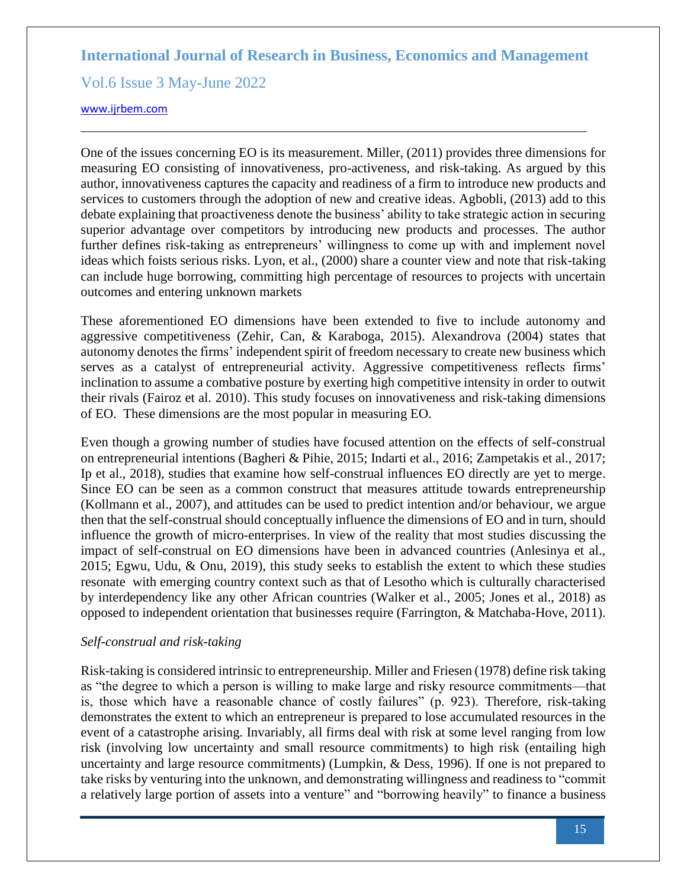Vol.6 Issue 3 May-June 2022

#### [www.ijrbem.com](file:///G:/New%20folder%20(2)/New%20folder/IJRBEM/pepar/2019/May-June/BEM361%20pub/www.ijrbem.com)

One of the issues concerning EO is its measurement. Miller, (2011) provides three dimensions for measuring EO consisting of innovativeness, pro-activeness, and risk-taking. As argued by this author, innovativeness captures the capacity and readiness of a firm to introduce new products and services to customers through the adoption of new and creative ideas. Agbobli, (2013) add to this debate explaining that proactiveness denote the business' ability to take strategic action in securing superior advantage over competitors by introducing new products and processes. The author further defines risk-taking as entrepreneurs' willingness to come up with and implement novel ideas which foists serious risks. Lyon, et al., (2000) share a counter view and note that risk-taking can include huge borrowing, committing high percentage of resources to projects with uncertain outcomes and entering unknown markets

These aforementioned EO dimensions have been extended to five to include autonomy and aggressive competitiveness (Zehir, Can, & Karaboga, 2015). Alexandrova (2004) states that autonomy denotes the firms' independent spirit of freedom necessary to create new business which serves as a catalyst of entrepreneurial activity. Aggressive competitiveness reflects firms' inclination to assume a combative posture by exerting high competitive intensity in order to outwit their rivals (Fairoz et al. 2010). This study focuses on innovativeness and risk-taking dimensions of EO. These dimensions are the most popular in measuring EO.

Even though a growing number of studies have focused attention on the effects of self-construal on entrepreneurial intentions (Bagheri & Pihie, 2015; Indarti et al., 2016; Zampetakis et al., 2017; Ip et al., 2018), studies that examine how self-construal influences EO directly are yet to merge. Since EO can be seen as a common construct that measures attitude towards entrepreneurship (Kollmann et al., 2007), and attitudes can be used to predict intention and/or behaviour, we argue then that the self-construal should conceptually influence the dimensions of EO and in turn, should influence the growth of micro-enterprises. In view of the reality that most studies discussing the impact of self-construal on EO dimensions have been in advanced countries (Anlesinya et al., 2015; Egwu, Udu, & Onu, 2019), this study seeks to establish the extent to which these studies resonate with emerging country context such as that of Lesotho which is culturally characterised by interdependency like any other African countries (Walker et al., 2005; Jones et al., 2018) as opposed to independent orientation that businesses require (Farrington, & Matchaba-Hove, 2011).

### *Self-construal and risk-taking*

Risk-taking is considered intrinsic to entrepreneurship. Miller and Friesen (1978) define risk taking as "the degree to which a person is willing to make large and risky resource commitments—that is, those which have a reasonable chance of costly failures" (p. 923). Therefore, risk-taking demonstrates the extent to which an entrepreneur is prepared to lose accumulated resources in the event of a catastrophe arising. Invariably, all firms deal with risk at some level ranging from low risk (involving low uncertainty and small resource commitments) to high risk (entailing high uncertainty and large resource commitments) (Lumpkin, & Dess, [1996\)](https://link.springer.com/article/10.1186/s40497-019-0147-5#ref-CR35). If one is not prepared to take risks by venturing into the unknown, and demonstrating willingness and readiness to "commit a relatively large portion of assets into a venture" and "borrowing heavily" to finance a business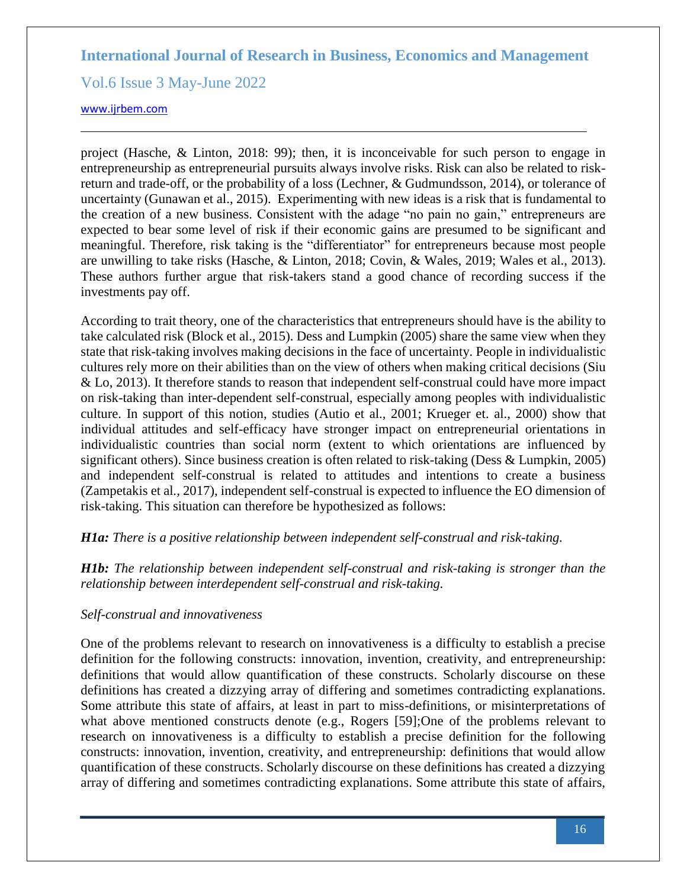Vol.6 Issue 3 May-June 2022

#### [www.ijrbem.com](file:///G:/New%20folder%20(2)/New%20folder/IJRBEM/pepar/2019/May-June/BEM361%20pub/www.ijrbem.com)

project (Hasche, & Linton, 2018: 99); then, it is inconceivable for such person to engage in entrepreneurship as entrepreneurial pursuits always involve risks. Risk can also be related to riskreturn and trade-off, or the probability of a loss (Lechner, & Gudmundsson, [2014\)](https://link.springer.com/article/10.1186/s40497-019-0147-5#CR28), or tolerance of uncertainty (Gunawan et al., [2015\)](https://link.springer.com/article/10.1186/s40497-019-0147-5#CR22). Experimenting with new ideas is a risk that is fundamental to the creation of a new business. Consistent with the adage "no pain no gain," entrepreneurs are expected to bear some level of risk if their economic gains are presumed to be significant and meaningful. Therefore, risk taking is the "differentiator" for entrepreneurs because most people are unwilling to take risks (Hasche, & Linton, 2018; Covin, & Wales, 2019; Wales et al., 2013). These authors further argue that risk-takers stand a good chance of recording success if the investments pay off.

According to trait theory, one of the characteristics that entrepreneurs should have is the ability to take calculated risk (Block et al., 2015). Dess and Lumpkin (2005) share the same view when they state that risk-taking involves making decisions in the face of uncertainty. People in individualistic cultures rely more on their abilities than on the view of others when making critical decisions (Siu & Lo, 2013). It therefore stands to reason that independent self-construal could have more impact on risk-taking than inter-dependent self-construal, especially among peoples with individualistic culture. In support of this notion, studies (Autio et al., 2001; Krueger et. al., 2000) show that individual attitudes and self-efficacy have stronger impact on entrepreneurial orientations in individualistic countries than social norm (extent to which orientations are influenced by significant others). Since business creation is often related to risk-taking (Dess & Lumpkin, 2005) and independent self-construal is related to attitudes and intentions to create a business (Zampetakis et al*.,* 2017), independent self-construal is expected to influence the EO dimension of risk-taking. This situation can therefore be hypothesized as follows:

# *H1a: There is a positive relationship between independent self-construal and risk-taking.*

*H1b: The relationship between independent self-construal and risk-taking is stronger than the relationship between interdependent self-construal and risk-taking.*

### *Self-construal and innovativeness*

One of the problems relevant to research on innovativeness is a difficulty to establish a precise definition for the following constructs: innovation, invention, creativity, and entrepreneurship: definitions that would allow quantification of these constructs. Scholarly discourse on these definitions has created a dizzying array of differing and sometimes contradicting explanations. Some attribute this state of affairs, at least in part to miss-definitions, or misinterpretations of what above mentioned constructs denote (e.g., Rogers [59];One of the problems relevant to research on innovativeness is a difficulty to establish a precise definition for the following constructs: innovation, invention, creativity, and entrepreneurship: definitions that would allow quantification of these constructs. Scholarly discourse on these definitions has created a dizzying array of differing and sometimes contradicting explanations. Some attribute this state of affairs,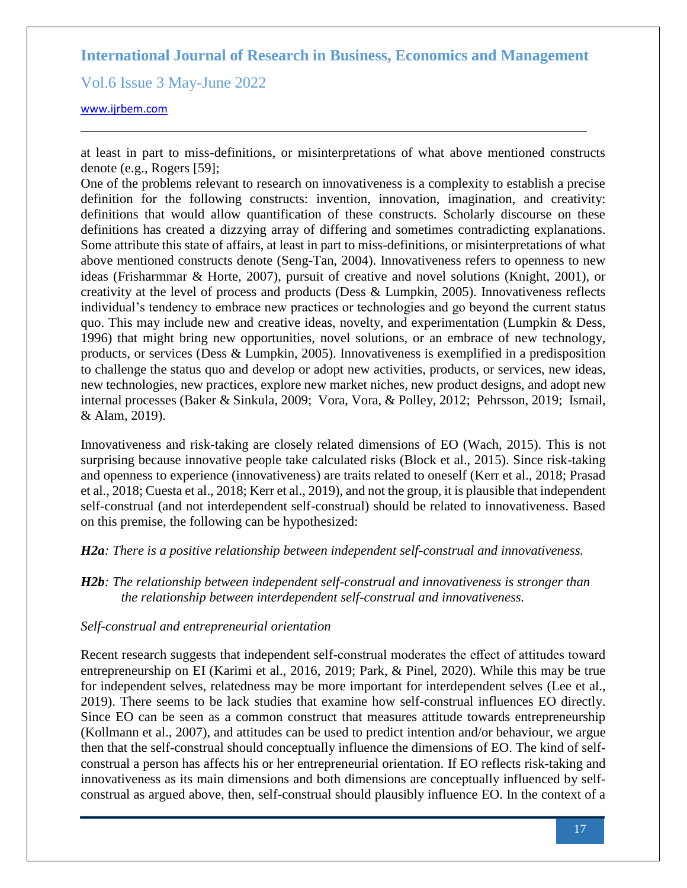Vol.6 Issue 3 May-June 2022

#### [www.ijrbem.com](file:///G:/New%20folder%20(2)/New%20folder/IJRBEM/pepar/2019/May-June/BEM361%20pub/www.ijrbem.com)

at least in part to miss-definitions, or misinterpretations of what above mentioned constructs denote (e.g., Rogers [59];

One of the problems relevant to research on innovativeness is a complexity to establish a precise definition for the following constructs: invention, innovation, imagination, and creativity: definitions that would allow quantification of these constructs. Scholarly discourse on these definitions has created a dizzying array of differing and sometimes contradicting explanations. Some attribute this state of affairs, at least in part to miss-definitions, or misinterpretations of what above mentioned constructs denote (Seng-Tan, 2004). Innovativeness refers to openness to new ideas (Frisharmmar & Horte, 2007), pursuit of creative and novel solutions (Knight, 2001), or creativity at the level of process and products (Dess & Lumpkin, 2005). Innovativeness reflects individual's tendency to embrace new practices or technologies and go beyond the current status quo. This may include new and creative ideas, novelty, and experimentation (Lumpkin & Dess, [1996\)](https://link.springer.com/article/10.1186/s40497-019-0147-5#ref-CR35) that might bring new opportunities, novel solutions, or an embrace of new technology, products, or services (Dess & Lumpkin, [2005\)](https://link.springer.com/article/10.1186/s40497-019-0147-5#ref-CR14). Innovativeness is exemplified in a predisposition to challenge the status quo and develop or adopt new activities, products, or services, new ideas, new technologies, new practices, explore new market niches, new product designs, and adopt new internal processes (Baker & Sinkula, [2009;](https://link.springer.com/article/10.1186/s40497-019-0147-5#ref-CR4) Vora, Vora, & Polley, 2012; Pehrsson, 2019; Ismail, & Alam, 2019).

Innovativeness and risk-taking are closely related dimensions of EO (Wach, 2015). This is not surprising because innovative people take calculated risks (Block et al., 2015). Since risk-taking and openness to experience (innovativeness) are traits related to oneself (Kerr et al., 2018; Prasad et al., 2018; Cuesta et al., 2018; Kerr et al., 2019), and not the group, it is plausible that independent self-construal (and not interdependent self-construal) should be related to innovativeness. Based on this premise, the following can be hypothesized:

#### *H2a: There is a positive relationship between independent self-construal and innovativeness.*

*H2b: The relationship between independent self-construal and innovativeness is stronger than the relationship between interdependent self-construal and innovativeness.*

### *Self-construal and entrepreneurial orientation*

Recent research suggests that independent self-construal moderates the effect of attitudes toward entrepreneurship on EI (Karimi et al., 2016, 2019; Park, & Pinel, 2020). While this may be true for independent selves, relatedness may be more important for interdependent selves (Lee et al., 2019). There seems to be lack studies that examine how self-construal influences EO directly. Since EO can be seen as a common construct that measures attitude towards entrepreneurship (Kollmann et al., 2007), and attitudes can be used to predict intention and/or behaviour, we argue then that the self-construal should conceptually influence the dimensions of EO. The kind of selfconstrual a person has affects his or her entrepreneurial orientation. If EO reflects risk-taking and innovativeness as its main dimensions and both dimensions are conceptually influenced by selfconstrual as argued above, then, self-construal should plausibly influence EO. In the context of a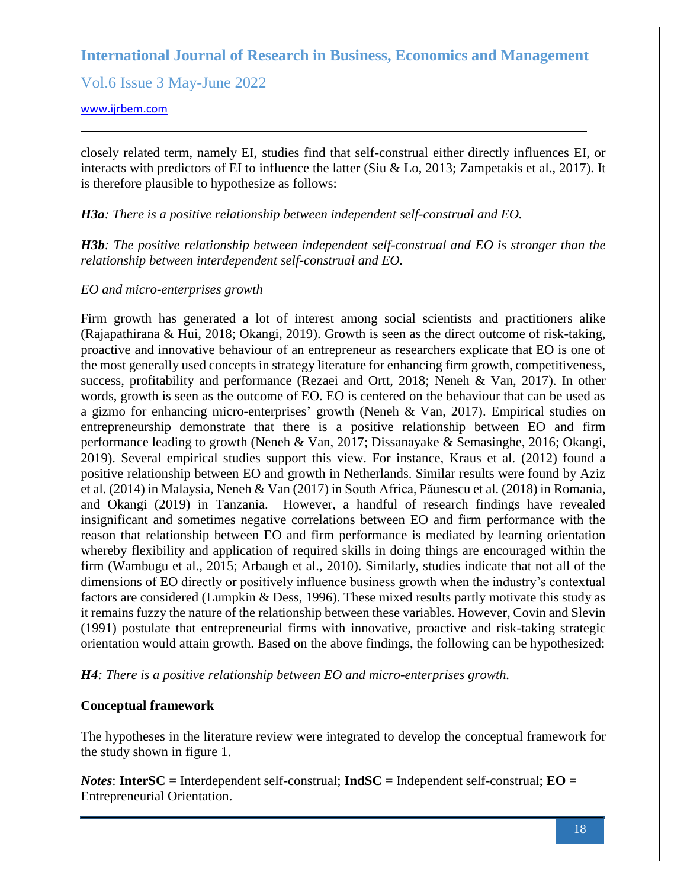Vol.6 Issue 3 May-June 2022

[www.ijrbem.com](file:///G:/New%20folder%20(2)/New%20folder/IJRBEM/pepar/2019/May-June/BEM361%20pub/www.ijrbem.com)

closely related term, namely EI, studies find that self-construal either directly influences EI, or interacts with predictors of EI to influence the latter (Siu & Lo, 2013; Zampetakis et al., 2017). It is therefore plausible to hypothesize as follows:

*H3a: There is a positive relationship between independent self-construal and EO.*

*H3b: The positive relationship between independent self-construal and EO is stronger than the relationship between interdependent self-construal and EO.*

### *EO and micro-enterprises growth*

Firm growth has generated a lot of interest among social scientists and practitioners alike (Rajapathirana & Hui, 2018; Okangi, 2019). Growth is seen as the direct outcome of risk-taking, proactive and innovative behaviour of an entrepreneur as researchers explicate that EO is one of the most generally used concepts in strategy literature for enhancing firm growth, competitiveness, success, profitability and performance (Rezaei and Ortt, 2018; Neneh & Van, 2017). In other words, growth is seen as the outcome of EO. EO is centered on the behaviour that can be used as a gizmo for enhancing micro-enterprises' growth (Neneh & Van, 2017). Empirical studies on entrepreneurship demonstrate that there is a positive relationship between EO and firm performance leading to growth (Neneh & Van, 2017; Dissanayake & Semasinghe, 2016; Okangi, 2019). Several empirical studies support this view. For instance, Kraus et al. (2012) found a positive relationship between EO and growth in Netherlands. Similar results were found by Aziz et al. (2014) in Malaysia, Neneh & Van (2017) in South Africa, Păunescu et al. (2018) in Romania, and Okangi (2019) in Tanzania. However, a handful of research findings have revealed insignificant and sometimes negative correlations between EO and firm performance with the reason that relationship between EO and firm performance is mediated by learning orientation whereby flexibility and application of required skills in doing things are encouraged within the firm (Wambugu et al., 2015; Arbaugh et al., 2010). Similarly, studies indicate that not all of the dimensions of EO directly or positively influence business growth when the industry's contextual factors are considered (Lumpkin & Dess, [1996\)](https://link.springer.com/article/10.1186/s40497-018-0143-1#CR66). These mixed results partly motivate this study as it remains fuzzy the nature of the relationship between these variables. However, Covin and Slevin (1991) postulate that entrepreneurial firms with innovative, proactive and risk-taking strategic orientation would attain growth. Based on the above findings, the following can be hypothesized:

*H4: There is a positive relationship between EO and micro-enterprises growth.*

# **Conceptual framework**

The hypotheses in the literature review were integrated to develop the conceptual framework for the study shown in figure 1.

*Notes*: **InterSC** = Interdependent self-construal; **IndSC** = Independent self-construal; **EO** = Entrepreneurial Orientation.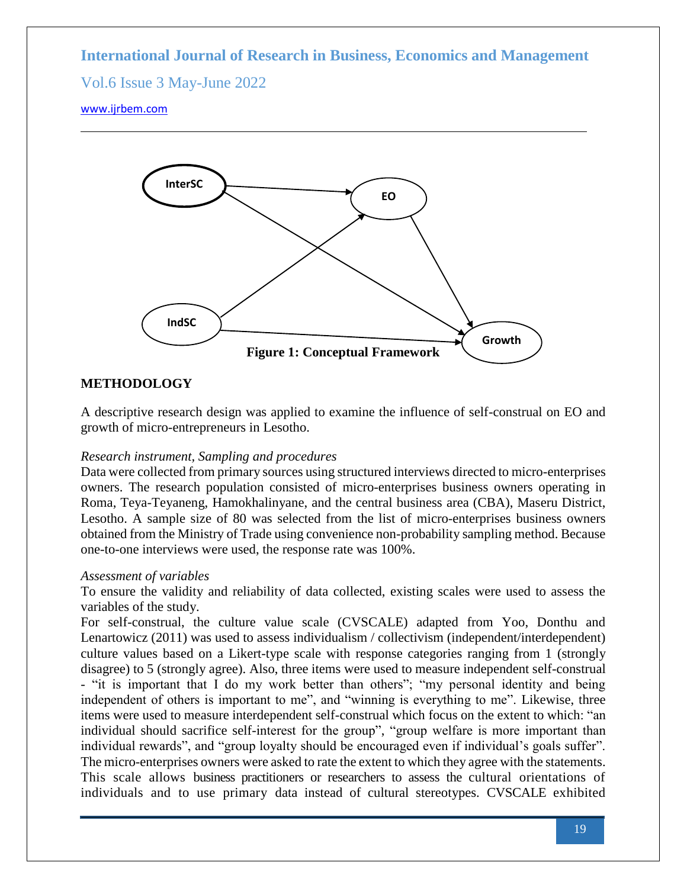# Vol.6 Issue 3 May-June 2022

#### [www.ijrbem.com](file:///G:/New%20folder%20(2)/New%20folder/IJRBEM/pepar/2019/May-June/BEM361%20pub/www.ijrbem.com)



## **METHODOLOGY**

A descriptive research design was applied to examine the influence of self-construal on EO and growth of micro-entrepreneurs in Lesotho.

### *Research instrument, Sampling and procedures*

Data were collected from primary sources using structured interviews directed to micro-enterprises owners. The research population consisted of micro-enterprises business owners operating in Roma, Teya-Teyaneng, Hamokhalinyane, and the central business area (CBA), Maseru District, Lesotho. A sample size of 80 was selected from the list of micro-enterprises business owners obtained from the Ministry of Trade using convenience non-probability sampling method. Because one-to-one interviews were used, the response rate was 100%.

#### *Assessment of variables*

To ensure the validity and reliability of data collected, existing scales were used to assess the variables of the study.

For self-construal, the culture value scale (CVSCALE) adapted from Yoo, Donthu and Lenartowicz (2011) was used to assess individualism / collectivism (independent/interdependent) culture values based on a Likert-type scale with response categories ranging from 1 (strongly disagree) to 5 (strongly agree). Also, three items were used to measure independent self-construal - "it is important that I do my work better than others"; "my personal identity and being independent of others is important to me", and "winning is everything to me". Likewise, three items were used to measure interdependent self-construal which focus on the extent to which: "an individual should sacrifice self-interest for the group", "group welfare is more important than individual rewards", and "group loyalty should be encouraged even if individual's goals suffer". The micro-enterprises owners were asked to rate the extent to which they agree with the statements. This scale allows business practitioners or researchers to assess the cultural orientations of individuals and to use primary data instead of cultural stereotypes. CVSCALE exhibited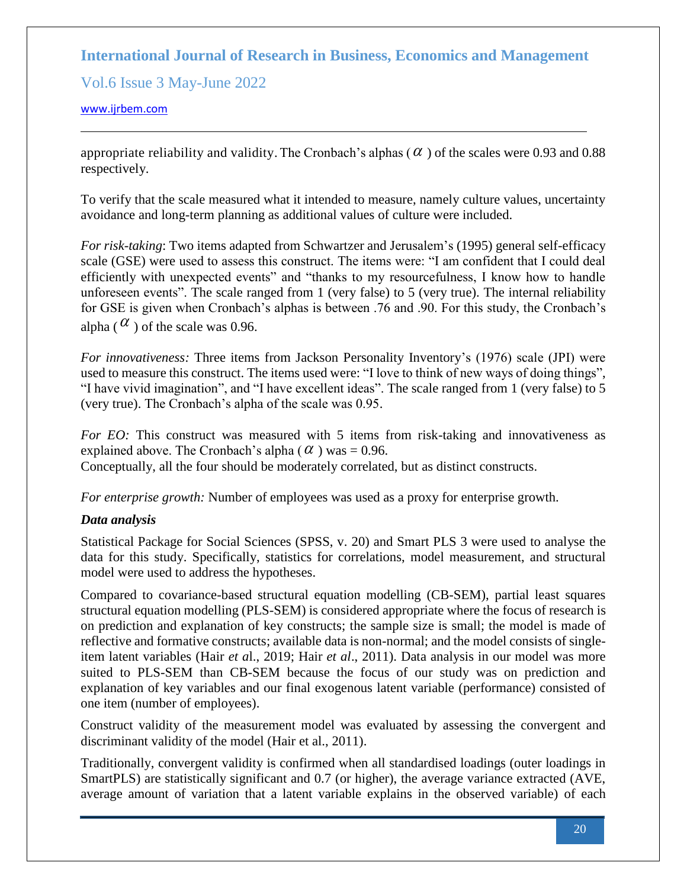Vol.6 Issue 3 May-June 2022

#### [www.ijrbem.com](file:///G:/New%20folder%20(2)/New%20folder/IJRBEM/pepar/2019/May-June/BEM361%20pub/www.ijrbem.com)

appropriate reliability and validity. The Cronbach's alphas ( $\alpha$ ) of the scales were 0.93 and 0.88 respectively.

To verify that the scale measured what it intended to measure, namely culture values, uncertainty avoidance and long-term planning as additional values of culture were included.

*For risk-taking*: Two items adapted from Schwartzer and Jerusalem's (1995) general self-efficacy scale (GSE) were used to assess this construct. The items were: "I am confident that I could deal efficiently with unexpected events" and "thanks to my resourcefulness, I know how to handle unforeseen events". The scale ranged from 1 (very false) to 5 (very true). The internal reliability for GSE is given when Cronbach's alphas is between .76 and .90. For this study, the Cronbach's alpha ( $\alpha$ ) of the scale was 0.96.

*For innovativeness:* Three items from Jackson Personality Inventory's (1976) scale (JPI) were used to measure this construct. The items used were: "I love to think of new ways of doing things", "I have vivid imagination", and "I have excellent ideas". The scale ranged from 1 (very false) to 5 (very true). The Cronbach's alpha of the scale was 0.95.

*For EO:* This construct was measured with 5 items from risk-taking and innovativeness as explained above. The Cronbach's alpha  $(\alpha)$  was = 0.96.

Conceptually, all the four should be moderately correlated, but as distinct constructs.

*For enterprise growth:* Number of employees was used as a proxy for enterprise growth.

### *Data analysis*

Statistical Package for Social Sciences (SPSS, v. 20) and Smart PLS 3 were used to analyse the data for this study. Specifically, statistics for correlations, model measurement, and structural model were used to address the hypotheses.

Compared to covariance-based structural equation modelling (CB-SEM), partial least squares structural equation modelling (PLS-SEM) is considered appropriate where the focus of research is on prediction and explanation of key constructs; the sample size is small; the model is made of reflective and formative constructs; available data is non-normal; and the model consists of singleitem latent variables (Hair *et a*l., 2019; Hair *et al*., 2011). Data analysis in our model was more suited to PLS-SEM than CB-SEM because the focus of our study was on prediction and explanation of key variables and our final exogenous latent variable (performance) consisted of one item (number of employees).

Construct validity of the measurement model was evaluated by assessing the convergent and discriminant validity of the model (Hair et al., 2011).

Traditionally, convergent validity is confirmed when all standardised loadings (outer loadings in SmartPLS) are statistically significant and 0.7 (or higher), the average variance extracted (AVE, average amount of variation that a latent variable explains in the observed variable) of each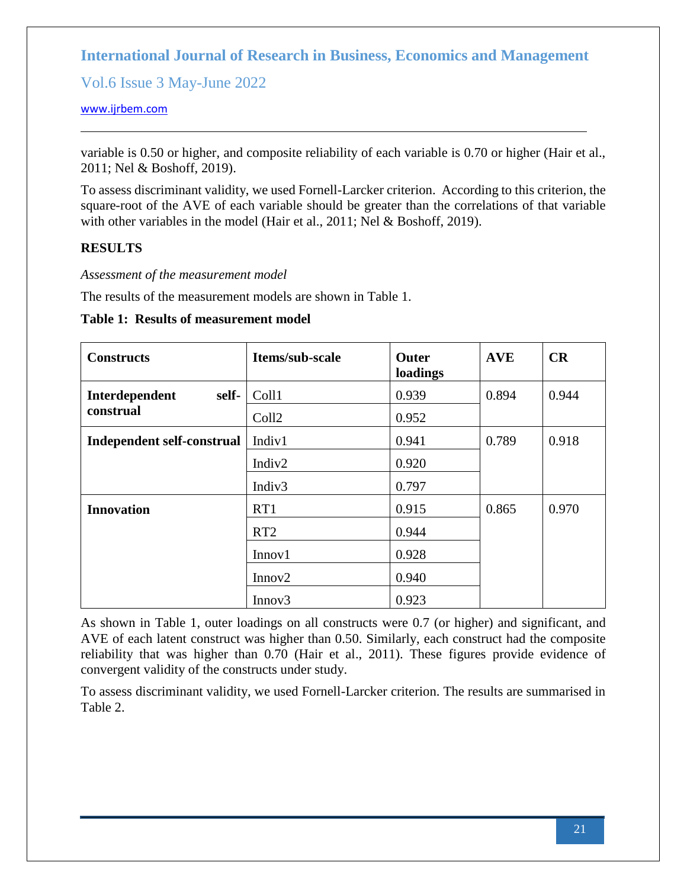Vol.6 Issue 3 May-June 2022

#### [www.ijrbem.com](file:///G:/New%20folder%20(2)/New%20folder/IJRBEM/pepar/2019/May-June/BEM361%20pub/www.ijrbem.com)

variable is 0.50 or higher, and composite reliability of each variable is 0.70 or higher (Hair et al., 2011; Nel & Boshoff, 2019).

To assess discriminant validity, we used Fornell-Larcker criterion. According to this criterion, the square-root of the AVE of each variable should be greater than the correlations of that variable with other variables in the model (Hair et al., 2011; Nel & Boshoff, 2019).

## **RESULTS**

*Assessment of the measurement model*

The results of the measurement models are shown in Table 1.

**Table 1: Results of measurement model**

| <b>Constructs</b>                 | Items/sub-scale    | Outer<br>loadings | <b>AVE</b> | CR    |
|-----------------------------------|--------------------|-------------------|------------|-------|
| Interdependent<br>self-           | Coll1              | 0.939             | 0.894      | 0.944 |
| construal                         | Coll <sub>2</sub>  | 0.952             |            |       |
| <b>Independent self-construal</b> | Indiv1             | 0.941             | 0.789      | 0.918 |
|                                   | Indiv <sub>2</sub> | 0.920             |            |       |
|                                   | Indiv <sub>3</sub> | 0.797             |            |       |
| <b>Innovation</b>                 | RT1                | 0.915             | 0.865      | 0.970 |
|                                   | RT <sub>2</sub>    | 0.944             |            |       |
|                                   | Innov1             | 0.928             |            |       |
|                                   | Innov2             | 0.940             |            |       |
|                                   | Innov <sub>3</sub> | 0.923             |            |       |

As shown in Table 1, outer loadings on all constructs were 0.7 (or higher) and significant, and AVE of each latent construct was higher than 0.50. Similarly, each construct had the composite reliability that was higher than 0.70 (Hair et al., 2011). These figures provide evidence of convergent validity of the constructs under study.

To assess discriminant validity, we used Fornell-Larcker criterion. The results are summarised in Table 2.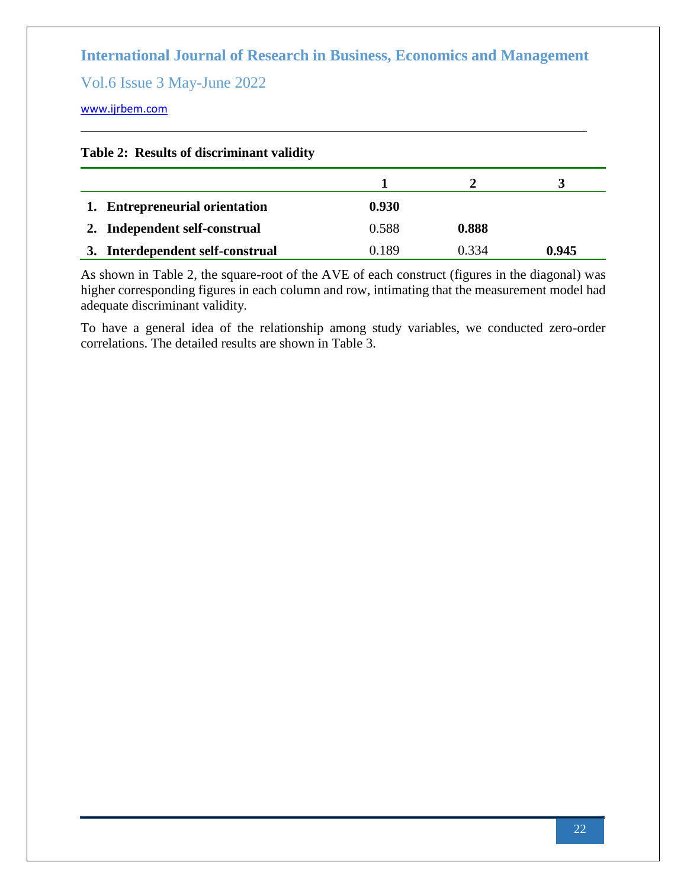Vol.6 Issue 3 May-June 2022

[www.ijrbem.com](file:///G:/New%20folder%20(2)/New%20folder/IJRBEM/pepar/2019/May-June/BEM361%20pub/www.ijrbem.com)

|  |  |  | Table 2: Results of discriminant validity |  |
|--|--|--|-------------------------------------------|--|
|--|--|--|-------------------------------------------|--|

| 1. Entrepreneurial orientation      | 0.930 |       |       |
|-------------------------------------|-------|-------|-------|
| 2. Independent self-construal       | 0.588 | 0.888 |       |
| Interdependent self-construal<br>3. | 0.189 | 0 334 | 0.945 |

As shown in Table 2, the square-root of the AVE of each construct (figures in the diagonal) was higher corresponding figures in each column and row, intimating that the measurement model had adequate discriminant validity.

To have a general idea of the relationship among study variables, we conducted zero-order correlations. The detailed results are shown in Table 3.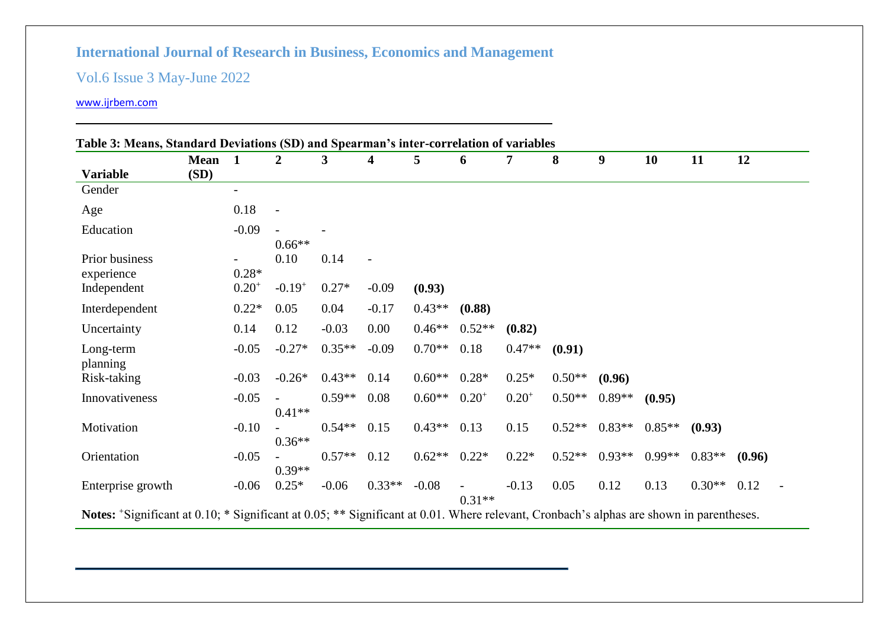# Vol.6 Issue 3 May-June 2022

|                              | <b>Mean</b> | $\blacksquare$           | 2           | 3        | 4        | 5        | 6          | 7          | 8        | 9        | 10       | 11       | 12     |
|------------------------------|-------------|--------------------------|-------------|----------|----------|----------|------------|------------|----------|----------|----------|----------|--------|
| <b>Variable</b>              | (SD)        |                          |             |          |          |          |            |            |          |          |          |          |        |
| Gender                       |             | $\overline{\phantom{a}}$ |             |          |          |          |            |            |          |          |          |          |        |
| Age                          |             | 0.18                     |             |          |          |          |            |            |          |          |          |          |        |
| Education                    |             | $-0.09$                  | $0.66**$    |          |          |          |            |            |          |          |          |          |        |
| Prior business<br>experience |             | $0.28*$                  | 0.10        | 0.14     |          |          |            |            |          |          |          |          |        |
| Independent                  |             | $0.20^{+}$               | $-0.19^{+}$ | $0.27*$  | $-0.09$  | (0.93)   |            |            |          |          |          |          |        |
| Interdependent               |             | $0.22*$                  | 0.05        | 0.04     | $-0.17$  | $0.43**$ | (0.88)     |            |          |          |          |          |        |
| Uncertainty                  |             | 0.14                     | 0.12        | $-0.03$  | 0.00     | $0.46**$ | $0.52**$   | (0.82)     |          |          |          |          |        |
| Long-term<br>planning        |             | $-0.05$                  | $-0.27*$    | $0.35**$ | $-0.09$  | $0.70**$ | 0.18       | $0.47**$   | (0.91)   |          |          |          |        |
| Risk-taking                  |             | $-0.03$                  | $-0.26*$    | $0.43**$ | 0.14     | $0.60**$ | $0.28*$    | $0.25*$    | $0.50**$ | (0.96)   |          |          |        |
| Innovativeness               |             | $-0.05$                  | $0.41**$    | $0.59**$ | 0.08     | $0.60**$ | $0.20^{+}$ | $0.20^{+}$ | $0.50**$ | $0.89**$ | (0.95)   |          |        |
| Motivation                   |             | $-0.10$                  | $0.36**$    | $0.54**$ | 0.15     | $0.43**$ | 0.13       | 0.15       | $0.52**$ | $0.83**$ | $0.85**$ | (0.93)   |        |
| Orientation                  |             | $-0.05$                  | $0.39**$    | $0.57**$ | 0.12     | $0.62**$ | $0.22*$    | $0.22*$    | $0.52**$ | $0.93**$ | $0.99**$ | $0.83**$ | (0.96) |
| Enterprise growth            |             | $-0.06$                  | $0.25*$     | $-0.06$  | $0.33**$ | $-0.08$  | $0.31**$   | $-0.13$    | 0.05     | 0.12     | 0.13     | $0.30**$ | 0.12   |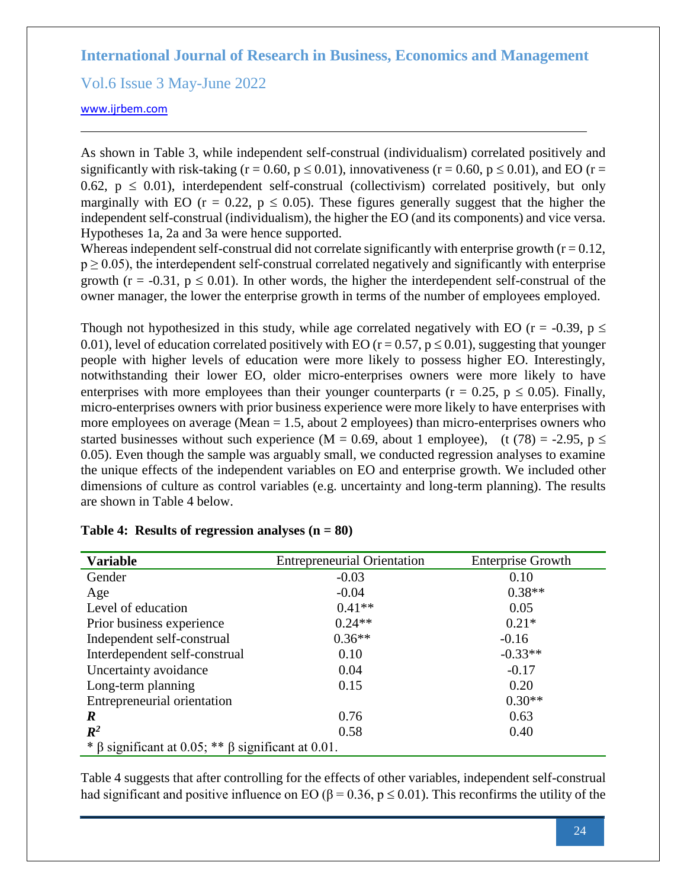Vol.6 Issue 3 May-June 2022

[www.ijrbem.com](file:///G:/New%20folder%20(2)/New%20folder/IJRBEM/pepar/2019/May-June/BEM361%20pub/www.ijrbem.com)

As shown in Table 3, while independent self-construal (individualism) correlated positively and significantly with risk-taking (r = 0.60, p  $\leq$  0.01), innovativeness (r = 0.60, p  $\leq$  0.01), and EO (r = 0.62,  $p \le 0.01$ ), interdependent self-construal (collectivism) correlated positively, but only marginally with EO ( $r = 0.22$ ,  $p \le 0.05$ ). These figures generally suggest that the higher the independent self-construal (individualism), the higher the EO (and its components) and vice versa. Hypotheses 1a, 2a and 3a were hence supported.

Whereas independent self-construal did not correlate significantly with enterprise growth  $(r = 0.12,$  $p \ge 0.05$ ), the interdependent self-construal correlated negatively and significantly with enterprise growth ( $r = -0.31$ ,  $p \le 0.01$ ). In other words, the higher the interdependent self-construal of the owner manager, the lower the enterprise growth in terms of the number of employees employed.

Though not hypothesized in this study, while age correlated negatively with EO ( $r = -0.39$ ,  $p \le$ 0.01), level of education correlated positively with EO ( $r = 0.57$ ,  $p \le 0.01$ ), suggesting that younger people with higher levels of education were more likely to possess higher EO. Interestingly, notwithstanding their lower EO, older micro-enterprises owners were more likely to have enterprises with more employees than their younger counterparts ( $r = 0.25$ ,  $p \le 0.05$ ). Finally, micro-enterprises owners with prior business experience were more likely to have enterprises with more employees on average (Mean = 1.5, about 2 employees) than micro-enterprises owners who started businesses without such experience (M = 0.69, about 1 employee), (t (78) = -2.95, p  $\le$ 0.05). Even though the sample was arguably small, we conducted regression analyses to examine the unique effects of the independent variables on EO and enterprise growth. We included other dimensions of culture as control variables (e.g. uncertainty and long-term planning). The results are shown in Table 4 below.

| <b>Variable</b>                                                | <b>Entrepreneurial Orientation</b> | <b>Enterprise Growth</b> |
|----------------------------------------------------------------|------------------------------------|--------------------------|
| Gender                                                         | $-0.03$                            | 0.10                     |
| Age                                                            | $-0.04$                            | $0.38**$                 |
| Level of education                                             | $0.41**$                           | 0.05                     |
| Prior business experience                                      | $0.24**$                           | $0.21*$                  |
| Independent self-construal                                     | $0.36**$                           | $-0.16$                  |
| Interdependent self-construal                                  | 0.10                               | $-0.33**$                |
| Uncertainty avoidance                                          | 0.04                               | $-0.17$                  |
| Long-term planning                                             | 0.15                               | 0.20                     |
| Entrepreneurial orientation                                    |                                    | $0.30**$                 |
| $\boldsymbol{R}$                                               | 0.76                               | 0.63                     |
| $\mathbb{R}^2$                                                 | 0.58                               | 0.40                     |
| * $\beta$ significant at 0.05; ** $\beta$ significant at 0.01. |                                    |                          |

| Table 4: Results of regression analyses $(n = 80)$ |  |  |  |
|----------------------------------------------------|--|--|--|
|----------------------------------------------------|--|--|--|

Table 4 suggests that after controlling for the effects of other variables, independent self-construal had significant and positive influence on EO ( $\beta$  = 0.36, p  $\leq$  0.01). This reconfirms the utility of the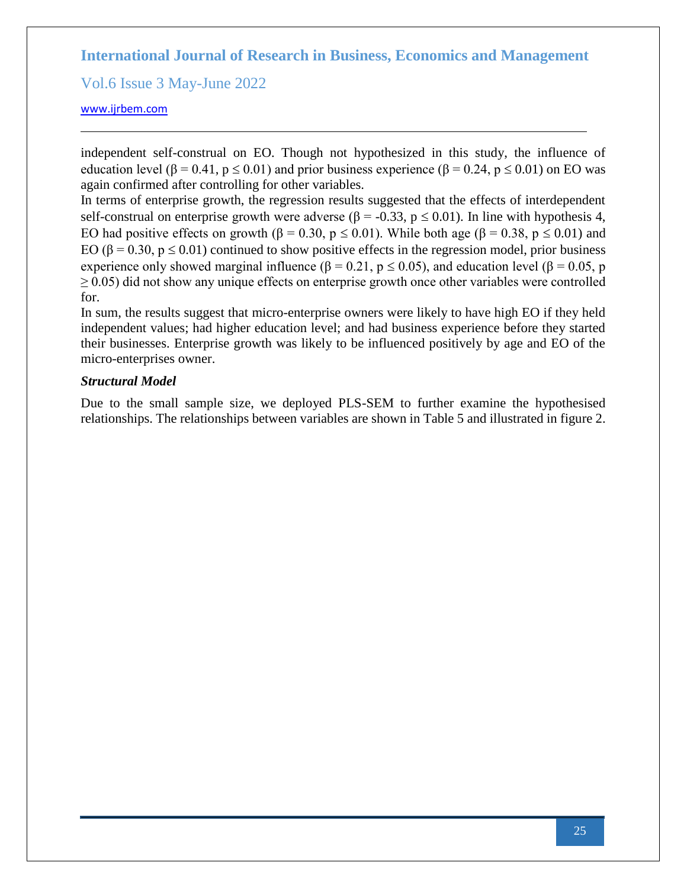Vol.6 Issue 3 May-June 2022

#### [www.ijrbem.com](file:///G:/New%20folder%20(2)/New%20folder/IJRBEM/pepar/2019/May-June/BEM361%20pub/www.ijrbem.com)

independent self-construal on EO. Though not hypothesized in this study, the influence of education level ( $\beta$  = 0.41,  $p \le 0.01$ ) and prior business experience ( $\beta$  = 0.24,  $p \le 0.01$ ) on EO was again confirmed after controlling for other variables.

In terms of enterprise growth, the regression results suggested that the effects of interdependent self-construal on enterprise growth were adverse ( $\beta$  = -0.33, p  $\leq$  0.01). In line with hypothesis 4, EO had positive effects on growth ( $\beta = 0.30$ ,  $p \le 0.01$ ). While both age ( $\beta = 0.38$ ,  $p \le 0.01$ ) and EO ( $\beta$  = 0.30,  $p \le 0.01$ ) continued to show positive effects in the regression model, prior business experience only showed marginal influence ( $\beta = 0.21$ ,  $p \le 0.05$ ), and education level ( $\beta = 0.05$ , p  $\geq$  0.05) did not show any unique effects on enterprise growth once other variables were controlled for.

In sum, the results suggest that micro-enterprise owners were likely to have high EO if they held independent values; had higher education level; and had business experience before they started their businesses. Enterprise growth was likely to be influenced positively by age and EO of the micro-enterprises owner.

### *Structural Model*

Due to the small sample size, we deployed PLS-SEM to further examine the hypothesised relationships. The relationships between variables are shown in Table 5 and illustrated in figure 2.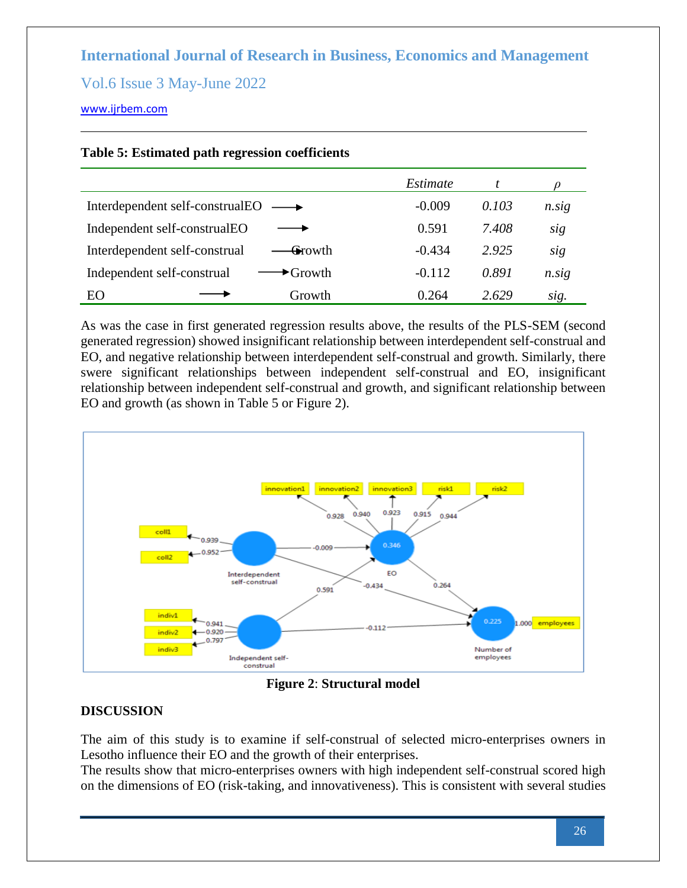Vol.6 Issue 3 May-June 2022

## [www.ijrbem.com](file:///G:/New%20folder%20(2)/New%20folder/IJRBEM/pepar/2019/May-June/BEM361%20pub/www.ijrbem.com)

|                                                            | Estimate |       |                |
|------------------------------------------------------------|----------|-------|----------------|
| Interdependent self-construalEO                            | $-0.009$ | 0.103 | $n.\text{sig}$ |
| Independent self-construalEO                               | 0.591    | 7.408 | sig            |
| Interdependent self-construal<br><del>G</del> rowth        | $-0.434$ | 2.925 | sig            |
| Independent self-construal<br>$\blacktriangleright$ Growth | $-0.112$ | 0.891 | $n.\text{sig}$ |
| Growth<br>EО                                               | 0.264    | 2.629 | sig.           |

## **Table 5: Estimated path regression coefficients**

As was the case in first generated regression results above, the results of the PLS-SEM (second generated regression) showed insignificant relationship between interdependent self-construal and EO, and negative relationship between interdependent self-construal and growth. Similarly, there swere significant relationships between independent self-construal and EO, insignificant relationship between independent self-construal and growth, and significant relationship between EO and growth (as shown in Table 5 or Figure 2).



**Figure 2**: **Structural model**

# **DISCUSSION**

The aim of this study is to examine if self-construal of selected micro-enterprises owners in Lesotho influence their EO and the growth of their enterprises.

The results show that micro-enterprises owners with high independent self-construal scored high on the dimensions of EO (risk-taking, and innovativeness). This is consistent with several studies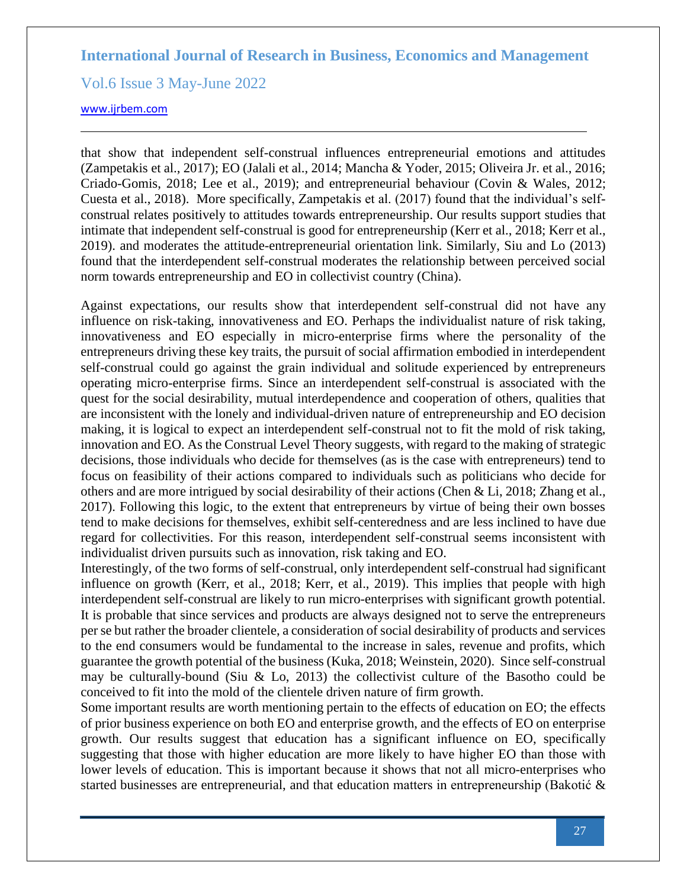Vol.6 Issue 3 May-June 2022

#### [www.ijrbem.com](file:///G:/New%20folder%20(2)/New%20folder/IJRBEM/pepar/2019/May-June/BEM361%20pub/www.ijrbem.com)

that show that independent self-construal influences entrepreneurial emotions and attitudes (Zampetakis et al., 2017); EO (Jalali et al., 2014; Mancha & Yoder, 2015; Oliveira Jr. et al., 2016; Criado-Gomis, 2018; Lee et al., 2019); and entrepreneurial behaviour (Covin & Wales, 2012; Cuesta et al., 2018). More specifically, Zampetakis et al. (2017) found that the individual's selfconstrual relates positively to attitudes towards entrepreneurship. Our results support studies that intimate that independent self-construal is good for entrepreneurship (Kerr et al., 2018; Kerr et al., 2019). and moderates the attitude-entrepreneurial orientation link. Similarly, Siu and Lo (2013) found that the interdependent self-construal moderates the relationship between perceived social norm towards entrepreneurship and EO in collectivist country (China).

Against expectations, our results show that interdependent self-construal did not have any influence on risk-taking, innovativeness and EO. Perhaps the individualist nature of risk taking, innovativeness and EO especially in micro-enterprise firms where the personality of the entrepreneurs driving these key traits, the pursuit of social affirmation embodied in interdependent self-construal could go against the grain individual and solitude experienced by entrepreneurs operating micro-enterprise firms. Since an interdependent self-construal is associated with the quest for the social desirability, mutual interdependence and cooperation of others, qualities that are inconsistent with the lonely and individual-driven nature of entrepreneurship and EO decision making, it is logical to expect an interdependent self-construal not to fit the mold of risk taking, innovation and EO. As the Construal Level Theory suggests, with regard to the making of strategic decisions, those individuals who decide for themselves (as is the case with entrepreneurs) tend to focus on feasibility of their actions compared to individuals such as politicians who decide for others and are more intrigued by social desirability of their actions (Chen & Li, 2018; Zhang et al., 2017). Following this logic, to the extent that entrepreneurs by virtue of being their own bosses tend to make decisions for themselves, exhibit self-centeredness and are less inclined to have due regard for collectivities. For this reason, interdependent self-construal seems inconsistent with individualist driven pursuits such as innovation, risk taking and EO.

Interestingly, of the two forms of self-construal, only interdependent self-construal had significant influence on growth (Kerr, et al., 2018; Kerr, et al., 2019). This implies that people with high interdependent self-construal are likely to run micro-enterprises with significant growth potential. It is probable that since services and products are always designed not to serve the entrepreneurs per se but rather the broader clientele, a consideration of social desirability of products and services to the end consumers would be fundamental to the increase in sales, revenue and profits, which guarantee the growth potential of the business (Kuka, 2018; Weinstein, 2020). Since self-construal may be culturally-bound (Siu & Lo, 2013) the collectivist culture of the Basotho could be conceived to fit into the mold of the clientele driven nature of firm growth.

Some important results are worth mentioning pertain to the effects of education on EO; the effects of prior business experience on both EO and enterprise growth, and the effects of EO on enterprise growth. Our results suggest that education has a significant influence on EO, specifically suggesting that those with higher education are more likely to have higher EO than those with lower levels of education. This is important because it shows that not all micro-enterprises who started businesses are entrepreneurial, and that education matters in entrepreneurship (Bakotić &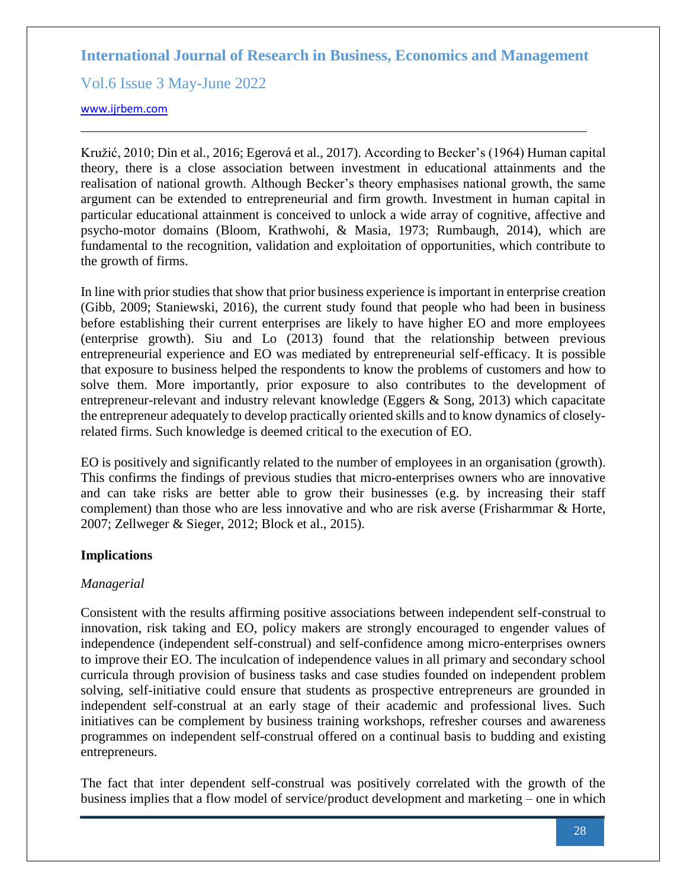Vol.6 Issue 3 May-June 2022

#### [www.ijrbem.com](file:///G:/New%20folder%20(2)/New%20folder/IJRBEM/pepar/2019/May-June/BEM361%20pub/www.ijrbem.com)

Kružić, 2010; Din et al., 2016; Egerová et al., 2017). According to Becker's (1964) Human capital theory, there is a close association between investment in educational attainments and the realisation of national growth. Although Becker's theory emphasises national growth, the same argument can be extended to entrepreneurial and firm growth. Investment in human capital in particular educational attainment is conceived to unlock a wide array of cognitive, affective and psycho-motor domains (Bloom, Krathwohi, & Masia, 1973; Rumbaugh, 2014), which are fundamental to the recognition, validation and exploitation of opportunities, which contribute to the growth of firms.

In line with prior studies that show that prior business experience is important in enterprise creation (Gibb, 2009; Staniewski, 2016), the current study found that people who had been in business before establishing their current enterprises are likely to have higher EO and more employees (enterprise growth). Siu and Lo (2013) found that the relationship between previous entrepreneurial experience and EO was mediated by entrepreneurial self-efficacy. It is possible that exposure to business helped the respondents to know the problems of customers and how to solve them. More importantly, prior exposure to also contributes to the development of entrepreneur-relevant and industry relevant knowledge (Eggers & Song, 2013) which capacitate the entrepreneur adequately to develop practically oriented skills and to know dynamics of closelyrelated firms. Such knowledge is deemed critical to the execution of EO.

EO is positively and significantly related to the number of employees in an organisation (growth). This confirms the findings of previous studies that micro-enterprises owners who are innovative and can take risks are better able to grow their businesses (e.g. by increasing their staff complement) than those who are less innovative and who are risk averse (Frisharmmar & Horte, 2007; Zellweger & Sieger, 2012; Block et al., 2015).

### **Implications**

# *Managerial*

Consistent with the results affirming positive associations between independent self-construal to innovation, risk taking and EO, policy makers are strongly encouraged to engender values of independence (independent self-construal) and self-confidence among micro-enterprises owners to improve their EO. The inculcation of independence values in all primary and secondary school curricula through provision of business tasks and case studies founded on independent problem solving, self-initiative could ensure that students as prospective entrepreneurs are grounded in independent self-construal at an early stage of their academic and professional lives. Such initiatives can be complement by business training workshops, refresher courses and awareness programmes on independent self-construal offered on a continual basis to budding and existing entrepreneurs.

The fact that inter dependent self-construal was positively correlated with the growth of the business implies that a flow model of service/product development and marketing – one in which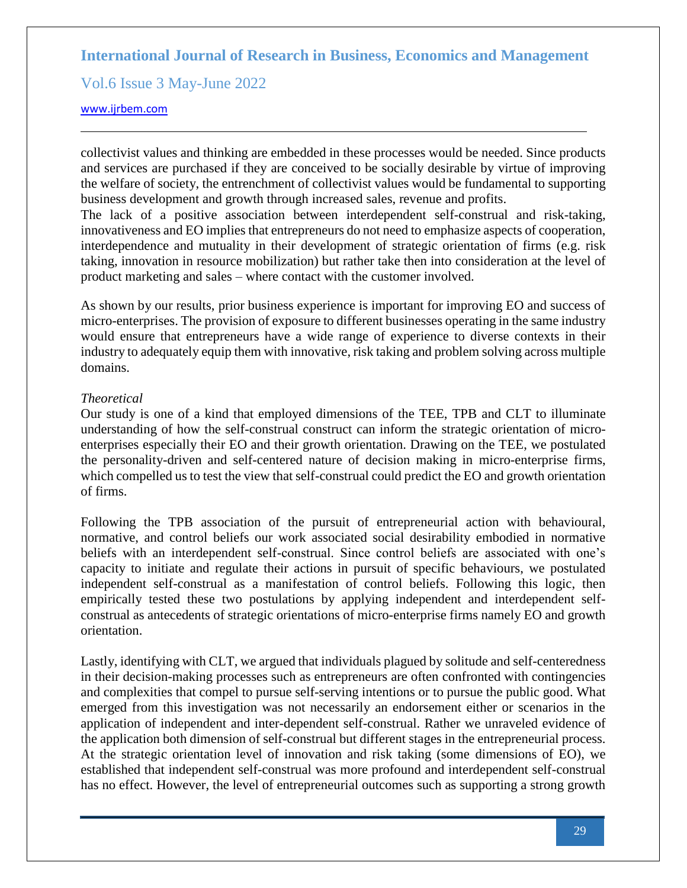Vol.6 Issue 3 May-June 2022

#### [www.ijrbem.com](file:///G:/New%20folder%20(2)/New%20folder/IJRBEM/pepar/2019/May-June/BEM361%20pub/www.ijrbem.com)

collectivist values and thinking are embedded in these processes would be needed. Since products and services are purchased if they are conceived to be socially desirable by virtue of improving the welfare of society, the entrenchment of collectivist values would be fundamental to supporting business development and growth through increased sales, revenue and profits.

The lack of a positive association between interdependent self-construal and risk-taking, innovativeness and EO implies that entrepreneurs do not need to emphasize aspects of cooperation, interdependence and mutuality in their development of strategic orientation of firms (e.g. risk taking, innovation in resource mobilization) but rather take then into consideration at the level of product marketing and sales – where contact with the customer involved.

As shown by our results, prior business experience is important for improving EO and success of micro-enterprises. The provision of exposure to different businesses operating in the same industry would ensure that entrepreneurs have a wide range of experience to diverse contexts in their industry to adequately equip them with innovative, risk taking and problem solving across multiple domains.

### *Theoretical*

Our study is one of a kind that employed dimensions of the TEE, TPB and CLT to illuminate understanding of [how](https://cutfs-my.sharepoint.com/personal/prambe_cut_ac_za/Documents/sajems/All%20authors%20cover%20pages%20included.docx?web=1) the self-construal construct can inform the strategic orientation of microenterprises especially their EO and their growth orientation. Drawing on the TEE, we postulated the personality-driven and self-centered nature of decision making in micro-enterprise firms, which compelled us to test the view that self-construal could predict the EO and growth orientation of firms.

Following the TPB association of the pursuit of entrepreneurial action with behavioural, normative, and control beliefs our work associated social desirability embodied in normative beliefs with an interdependent self-construal. Since control beliefs are associated with one's capacity to initiate and regulate their actions in pursuit of specific behaviours, we postulated independent self-construal as a manifestation of control beliefs. Following this logic, then empirically tested these two postulations by applying independent and interdependent selfconstrual as antecedents of strategic orientations of micro-enterprise firms namely EO and growth orientation.

Lastly, identifying with CLT, we argued that individuals plagued by solitude and self-centeredness in their decision-making processes such as entrepreneurs are often confronted with contingencies and complexities that compel to pursue self-serving intentions or to pursue the public good. What emerged from this investigation was not necessarily an endorsement either or scenarios in the application of independent and inter-dependent self-construal. Rather we unraveled evidence of the application both dimension of self-construal but different stages in the entrepreneurial process. At the strategic orientation level of innovation and risk taking (some dimensions of EO), we established that independent self-construal was more profound and interdependent self-construal has no effect. However, the level of entrepreneurial outcomes such as supporting a strong growth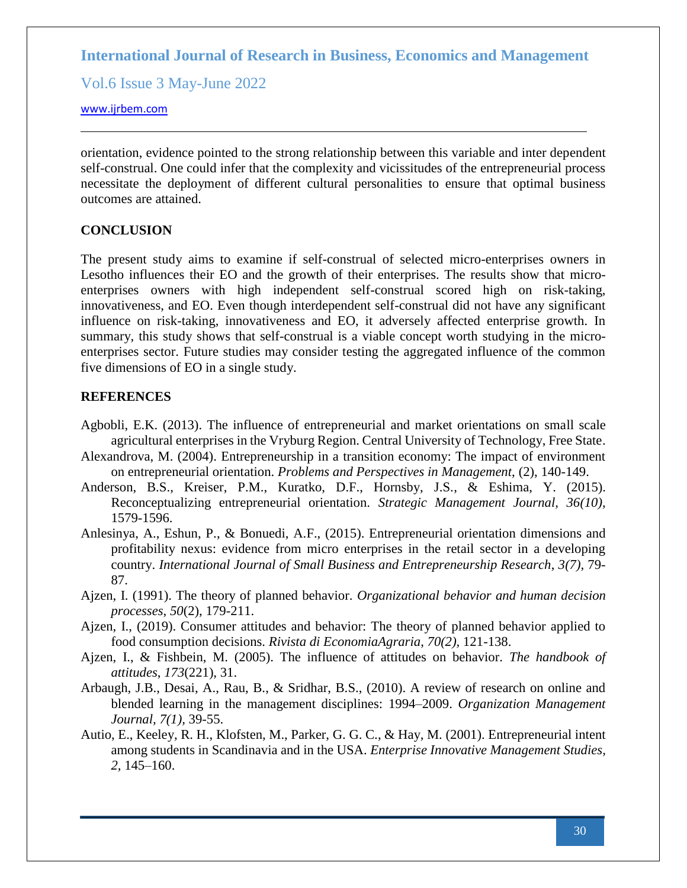Vol.6 Issue 3 May-June 2022

#### [www.ijrbem.com](file:///G:/New%20folder%20(2)/New%20folder/IJRBEM/pepar/2019/May-June/BEM361%20pub/www.ijrbem.com)

orientation, evidence pointed to the strong relationship between this variable and inter dependent self-construal. One could infer that the complexity and vicissitudes of the entrepreneurial process necessitate the deployment of different cultural personalities to ensure that optimal business outcomes are attained.

## **CONCLUSION**

The present study aims to examine if self-construal of selected micro-enterprises owners in Lesotho influences their EO and the growth of their enterprises. The results show that microenterprises owners with high independent self-construal scored high on risk-taking, innovativeness, and EO. Even though interdependent self-construal did not have any significant influence on risk-taking, innovativeness and EO, it adversely affected enterprise growth. In summary, this study shows that self-construal is a viable concept worth studying in the microenterprises sector. Future studies may consider testing the aggregated influence of the common five dimensions of EO in a single study.

### **REFERENCES**

- Agbobli, E.K. (2013). The influence of entrepreneurial and market orientations on small scale agricultural enterprises in the Vryburg Region. Central University of Technology, Free State.
- Alexandrova, M. (2004). Entrepreneurship in a transition economy: The impact of environment on entrepreneurial orientation. *Problems and Perspectives in Management*, (2), 140-149.
- Anderson, B.S., Kreiser, P.M., Kuratko, D.F., Hornsby, J.S., & Eshima, Y. (2015). Reconceptualizing entrepreneurial orientation. *Strategic Management Journal, 36(10),* 1579-1596.
- Anlesinya, A., Eshun, P., & Bonuedi, A.F., (2015). Entrepreneurial orientation dimensions and profitability nexus: evidence from micro enterprises in the retail sector in a developing country. *International Journal of Small Business and Entrepreneurship Research*, *3(7),* 79- 87.
- Ajzen, I. (1991). The theory of planned behavior. *Organizational behavior and human decision processes*, *50*(2), 179-211.
- Ajzen, I., (2019). Consumer attitudes and behavior: The theory of planned behavior applied to food consumption decisions. *Rivista di EconomiaAgraria*, *70(2),* 121-138.
- Ajzen, I., & Fishbein, M. (2005). The influence of attitudes on behavior. *The handbook of attitudes*, *173*(221), 31.
- Arbaugh, J.B., Desai, A., Rau, B., & Sridhar, B.S., (2010). A review of research on online and blended learning in the management disciplines: 1994–2009. *Organization Management Journal, 7(1),* 39-55.
- Autio, E., Keeley, R. H., Klofsten, M., Parker, G. G. C., & Hay, M. (2001). Entrepreneurial intent among students in Scandinavia and in the USA. *Enterprise Innovative Management Studies, 2,* 145–160.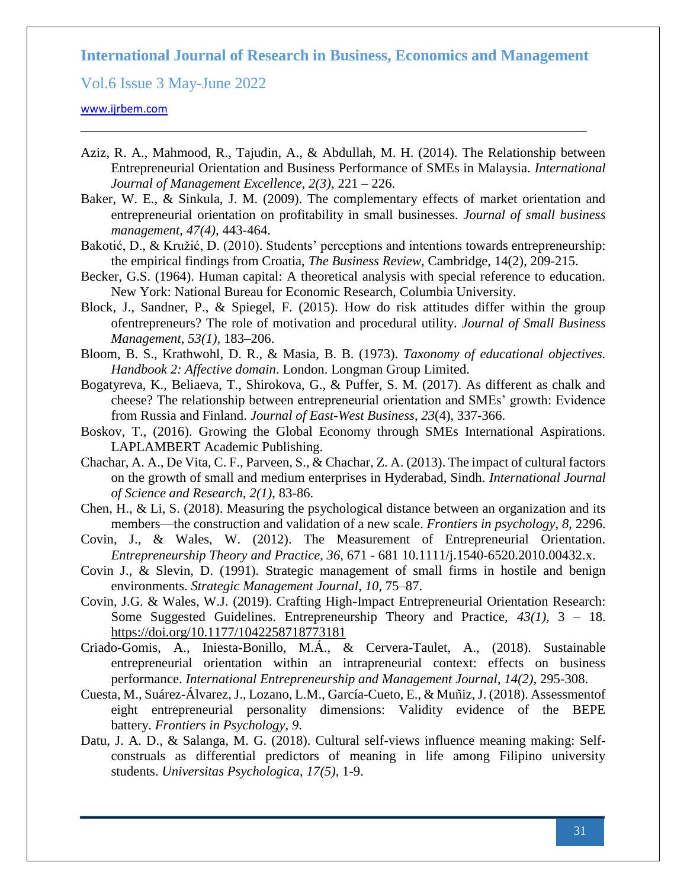Vol.6 Issue 3 May-June 2022

- Aziz, R. A., Mahmood, R., Tajudin, A., & Abdullah, M. H. (2014). The Relationship between Entrepreneurial Orientation and Business Performance of SMEs in Malaysia. *International Journal of Management Excellence, 2(3),* 221 – 226.
- Baker, W. E., & Sinkula, J. M. (2009). The complementary effects of market orientation and entrepreneurial orientation on profitability in small businesses. *Journal of small business management*, *47(4),* 443-464.
- Bakotić, D., & Kružić, D. (2010). Students' perceptions and intentions towards entrepreneurship: the empirical findings from Croatia, *The Business Review,* Cambridge, 14(2), 209-215.
- Becker, G.S. (1964). Human capital: A theoretical analysis with special reference to education. New York: National Bureau for Economic Research, Columbia University.
- Block, J., Sandner, P., & Spiegel, F. (2015). How do risk attitudes differ within the group ofentrepreneurs? The role of motivation and procedural utility. *Journal of Small Business Management*, *53(1),* 183–206.
- Bloom, B. S., Krathwohl, D. R., & Masia, B. B. (1973). *Taxonomy of educational objectives. Handbook 2: Affective domain*. London. Longman Group Limited.
- Bogatyreva, K., Beliaeva, T., Shirokova, G., & Puffer, S. M. (2017). As different as chalk and cheese? The relationship between entrepreneurial orientation and SMEs' growth: Evidence from Russia and Finland. *Journal of East-West Business*, *23*(4), 337-366.
- Boskov, T., (2016). Growing the Global Economy through SMEs International Aspirations. LAPLAMBERT Academic Publishing.
- Chachar, A. A., De Vita, C. F., Parveen, S., & Chachar, Z. A. (2013). The impact of cultural factors on the growth of small and medium enterprises in Hyderabad, Sindh. *International Journal of Science and Research*, *2(1)*, 83-86.
- Chen, H., & Li, S. (2018). Measuring the psychological distance between an organization and its members—the construction and validation of a new scale. *Frontiers in psychology*, *8,* 2296.
- Covin, J., & Wales, W. (2012). The Measurement of Entrepreneurial Orientation. *Entrepreneurship Theory and Practice, 36,* 671 - 681 10.1111/j.1540-6520.2010.00432.x.
- Covin J., & Slevin, D. (1991). Strategic management of small firms in hostile and benign environments. *Strategic Management Journal*, *10,* 75–87.
- Covin, J.G. & Wales, W.J. (2019). Crafting High-Impact Entrepreneurial Orientation Research: Some Suggested Guidelines. Entrepreneurship Theory and Practice, *43(1),* 3 – 18. <https://doi.org/10.1177/1042258718773181>
- Criado-Gomis, A., Iniesta-Bonillo, M.Á., & Cervera-Taulet, A., (2018). Sustainable entrepreneurial orientation within an intrapreneurial context: effects on business performance. *International Entrepreneurship and Management Journal*, *14(2),* 295-308.
- Cuesta, M., Suárez-Álvarez, J., Lozano, L.M., García-Cueto, E., & Muñiz, J. (2018). Assessmentof eight entrepreneurial personality dimensions: Validity evidence of the BEPE battery. *Frontiers in Psychology*, *9*.
- Datu, J. A. D., & Salanga, M. G. (2018). Cultural self-views influence meaning making: Selfconstruals as differential predictors of meaning in life among Filipino university students. *Universitas Psychologica, 17(5),* 1-9.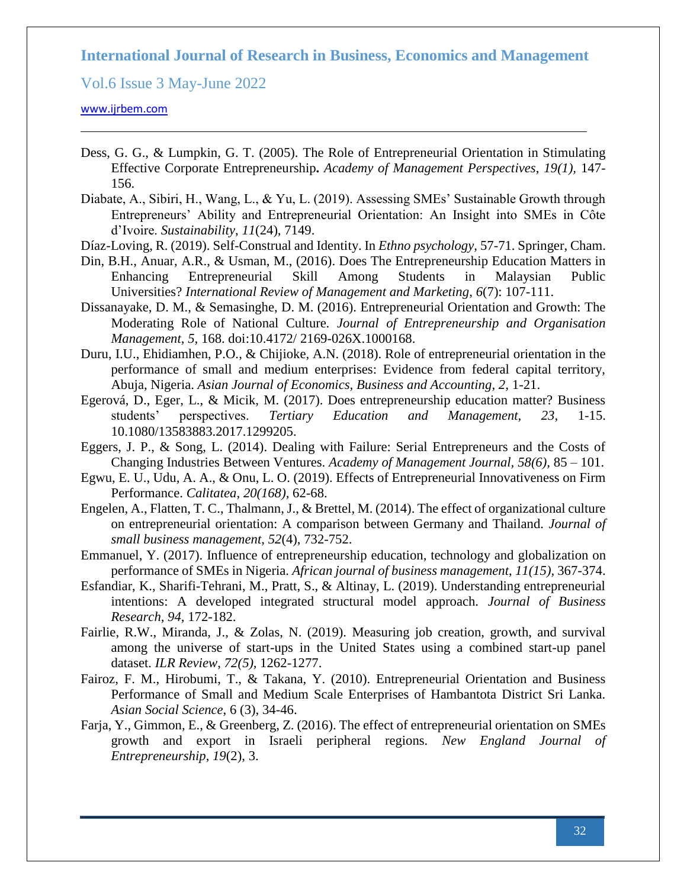Vol.6 Issue 3 May-June 2022

- Dess, G. G., & Lumpkin, G. T. (2005). The Role of Entrepreneurial Orientation in Stimulating Effective Corporate Entrepreneurship**.** *Academy of Management Perspectives*, *19(1),* 147- 156.
- Diabate, A., Sibiri, H., Wang, L., & Yu, L. (2019). Assessing SMEs' Sustainable Growth through Entrepreneurs' Ability and Entrepreneurial Orientation: An Insight into SMEs in Côte d'Ivoire. *Sustainability*, *11*(24), 7149.
- Díaz-Loving, R. (2019). Self-Construal and Identity. In *Ethno psychology*, 57-71. Springer, Cham.
- Din, B.H., Anuar, A.R., & Usman, M., (2016). Does The Entrepreneurship Education Matters in Enhancing Entrepreneurial Skill Among Students in Malaysian Public Universities? *International Review of Management and Marketing*, *6*(7): 107-111.
- Dissanayake, D. M., & Semasinghe, D. M. (2016). Entrepreneurial Orientation and Growth: The Moderating Role of National Culture*. Journal of Entrepreneurship and Organisation Management, 5,* 168. doi:10.4172/ 2169-026X.1000168.
- Duru, I.U., Ehidiamhen, P.O., & Chijioke, A.N. (2018). Role of entrepreneurial orientation in the performance of small and medium enterprises: Evidence from federal capital territory, Abuja, Nigeria. *Asian Journal of Economics, Business and Accounting*, *2,* 1-21.
- Egerová, D., Eger, L., & Micik, M. (2017). Does entrepreneurship education matter? Business students' perspectives. *Tertiary Education and Management, 23,* 1-15. 10.1080/13583883.2017.1299205.
- Eggers, J. P., & Song, L. (2014). Dealing with Failure: Serial Entrepreneurs and the Costs of Changing Industries Between Ventures. *Academy of Management Journal, 58(6),* 85 – 101.
- Egwu, E. U., Udu, A. A., & Onu, L. O. (2019). Effects of Entrepreneurial Innovativeness on Firm Performance. *Calitatea*, *20(168),* 62-68.
- Engelen, A., Flatten, T. C., Thalmann, J., & Brettel, M. (2014). The effect of organizational culture on entrepreneurial orientation: A comparison between Germany and Thailand. *Journal of small business management*, *52*(4), 732-752.
- Emmanuel, Y. (2017). Influence of entrepreneurship education, technology and globalization on performance of SMEs in Nigeria. *African journal of business management*, *11(15),* 367-374.
- Esfandiar, K., Sharifi-Tehrani, M., Pratt, S., & Altinay, L. (2019). Understanding entrepreneurial intentions: A developed integrated structural model approach. *Journal of Business Research, 94,* 172-182.
- Fairlie, R.W., Miranda, J., & Zolas, N. (2019). Measuring job creation, growth, and survival among the universe of start-ups in the United States using a combined start-up panel dataset. *ILR Review*, *72(5),* 1262-1277.
- Fairoz, F. M., Hirobumi, T., & Takana, Y. (2010). Entrepreneurial Orientation and Business Performance of Small and Medium Scale Enterprises of Hambantota District Sri Lanka. *Asian Social Science*, 6 (3), 34-46.
- Farja, Y., Gimmon, E., & Greenberg, Z. (2016). The effect of entrepreneurial orientation on SMEs growth and export in Israeli peripheral regions. *New England Journal of Entrepreneurship*, *19*(2), 3.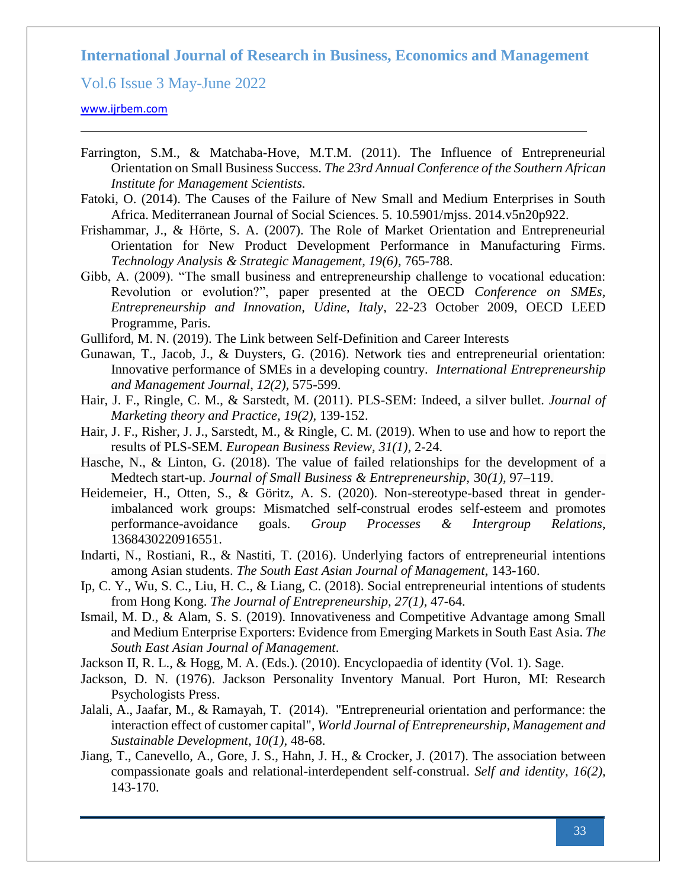Vol.6 Issue 3 May-June 2022

- Farrington, S.M., & Matchaba-Hove, M.T.M. (2011). The Influence of Entrepreneurial Orientation on Small Business Success. *The 23rd Annual Conference of the Southern African Institute for Management Scientists.*
- Fatoki, O. (2014). The Causes of the Failure of New Small and Medium Enterprises in South Africa. Mediterranean Journal of Social Sciences. 5. 10.5901/mjss. 2014.v5n20p922.
- Frishammar, J., & Hörte, S. A. (2007). The Role of Market Orientation and Entrepreneurial Orientation for New Product Development Performance in Manufacturing Firms. *Technology Analysis & Strategic Management, 19(6),* 765-788.
- Gibb, A. (2009). "The small business and entrepreneurship challenge to vocational education: Revolution or evolution?", paper presented at the OECD *Conference on SMEs, Entrepreneurship and Innovation, Udine, Italy*, 22-23 October 2009, OECD LEED Programme, Paris.
- Gulliford, M. N. (2019). The Link between Self-Definition and Career Interests
- Gunawan, T., Jacob, J., & Duysters, G. (2016). Network ties and entrepreneurial orientation: Innovative performance of SMEs in a developing country. *International Entrepreneurship and Management Journal*, *12(2),* 575-599.
- Hair, J. F., Ringle, C. M., & Sarstedt, M. (2011). PLS-SEM: Indeed, a silver bullet. *Journal of Marketing theory and Practice, 19(2),* 139-152.
- Hair, J. F., Risher, J. J., Sarstedt, M., & Ringle, C. M. (2019). When to use and how to report the results of PLS-SEM. *European Business Review, 31(1),* 2-24.
- Hasche, N., & Linton, G. (2018). The value of failed relationships for the development of a Medtech start-up. *Journal of Small Business & Entrepreneurship,* 30*(1),* 97–119.
- Heidemeier, H., Otten, S., & Göritz, A. S. (2020). Non-stereotype-based threat in genderimbalanced work groups: Mismatched self-construal erodes self-esteem and promotes performance-avoidance goals. *Group Processes & Intergroup Relations*, 1368430220916551.
- Indarti, N., Rostiani, R., & Nastiti, T. (2016). Underlying factors of entrepreneurial intentions among Asian students. *The South East Asian Journal of Management*, 143-160.
- Ip, C. Y., Wu, S. C., Liu, H. C., & Liang, C. (2018). Social entrepreneurial intentions of students from Hong Kong. *The Journal of Entrepreneurship, 27(1),* 47-64.
- Ismail, M. D., & Alam, S. S. (2019). Innovativeness and Competitive Advantage among Small and Medium Enterprise Exporters: Evidence from Emerging Markets in South East Asia. *The South East Asian Journal of Management*.
- Jackson II, R. L., & Hogg, M. A. (Eds.). (2010). Encyclopaedia of identity (Vol. 1). Sage.
- Jackson, D. N. (1976). Jackson Personality Inventory Manual. Port Huron, MI: Research Psychologists Press.
- Jalali, A., Jaafar, M., & Ramayah, T. (2014). ["Entrepreneurial orientation and performance: the](https://www.emeraldinsight.com/doi/abs/10.1108/WJEMSD-05-2013-0030)  [interaction effect of customer capital",](https://www.emeraldinsight.com/doi/abs/10.1108/WJEMSD-05-2013-0030) *World Journal of Entrepreneurship, Management and Sustainable Development*, *10(1),* 48-68.
- Jiang, T., Canevello, A., Gore, J. S., Hahn, J. H., & Crocker, J. (2017). The association between compassionate goals and relational-interdependent self-construal. *Self and identity, 16(2),*  143-170.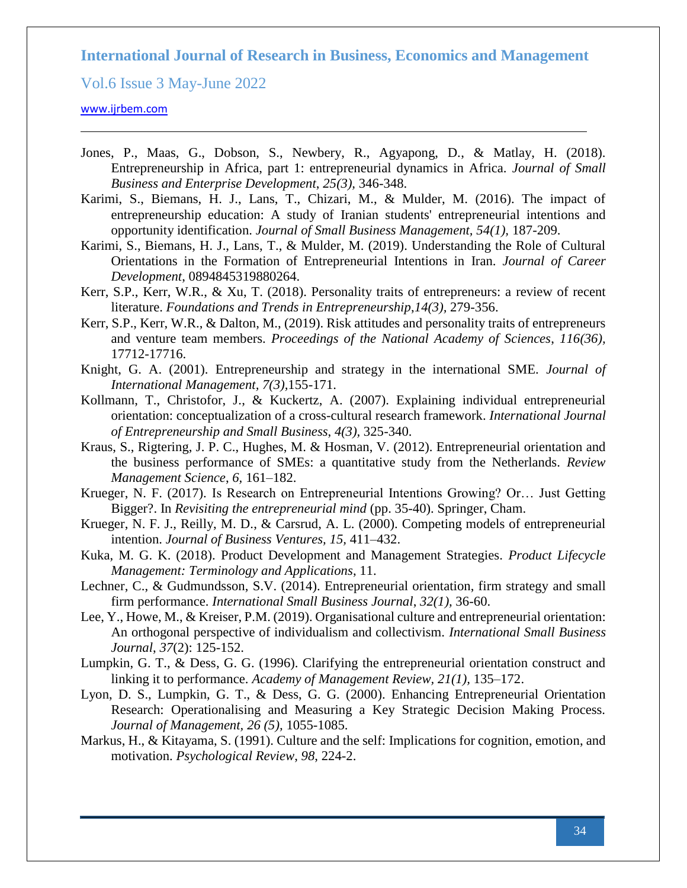Vol.6 Issue 3 May-June 2022

- Jones, P., Maas, G., Dobson, S., Newbery, R., Agyapong, D., & Matlay, H. (2018). Entrepreneurship in Africa, part 1: entrepreneurial dynamics in Africa. *Journal of Small Business and Enterprise Development*, *25(3),* 346-348.
- Karimi, S., Biemans, H. J., Lans, T., Chizari, M., & Mulder, M. (2016). The impact of entrepreneurship education: A study of Iranian students' entrepreneurial intentions and opportunity identification. *Journal of Small Business Management, 54(1),* 187-209.
- Karimi, S., Biemans, H. J., Lans, T., & Mulder, M. (2019). Understanding the Role of Cultural Orientations in the Formation of Entrepreneurial Intentions in Iran. *Journal of Career Development*, 0894845319880264.
- Kerr, S.P., Kerr, W.R., & Xu, T. (2018). Personality traits of entrepreneurs: a review of recent literature. *Foundations and Trends in Entrepreneurship*,*14(3),* 279-356.
- Kerr, S.P., Kerr, W.R., & Dalton, M., (2019). Risk attitudes and personality traits of entrepreneurs and venture team members. *Proceedings of the National Academy of Sciences*, *116(36),*  17712-17716.
- Knight, G. A. (2001). Entrepreneurship and strategy in the international SME. *Journal of International Management, 7(3),*155-171.
- Kollmann, T., Christofor, J., & Kuckertz, A. (2007). Explaining individual entrepreneurial orientation: conceptualization of a cross-cultural research framework. *International Journal of Entrepreneurship and Small Business*, *4(3),* 325-340.
- Kraus, S., Rigtering, J. P. C., Hughes, M. & Hosman, V. (2012). Entrepreneurial orientation and the business performance of SMEs: a quantitative study from the Netherlands. *Review Management Science*, *6,* 161–182.
- Krueger, N. F. (2017). Is Research on Entrepreneurial Intentions Growing? Or… Just Getting Bigger?. In *Revisiting the entrepreneurial mind* (pp. 35-40). Springer, Cham.
- Krueger, N. F. J., Reilly, M. D., & Carsrud, A. L. (2000). Competing models of entrepreneurial intention. *Journal of Business Ventures, 15,* 411–432.
- Kuka, M. G. K. (2018). Product Development and Management Strategies. *Product Lifecycle Management: Terminology and Applications*, 11.
- Lechner, C., & Gudmundsson, S.V. (2014). Entrepreneurial orientation, firm strategy and small firm performance. *International Small Business Journal*, *32(1),* 36-60.
- Lee, Y., Howe, M., & Kreiser, P.M. (2019). Organisational culture and entrepreneurial orientation: An orthogonal perspective of individualism and collectivism. *International Small Business Journal*, *37*(2): 125-152.
- Lumpkin, G. T., & Dess, G. G. (1996). Clarifying the entrepreneurial orientation construct and linking it to performance. *Academy of Management Review, 21(1),* 135–172.
- Lyon, D. S., Lumpkin, G. T., & Dess, G. G. (2000). Enhancing Entrepreneurial Orientation Research: Operationalising and Measuring a Key Strategic Decision Making Process. *Journal of Management, 26 (5),* 1055-1085.
- Markus, H., & Kitayama, S. (1991). Culture and the self: Implications for cognition, emotion, and motivation. *Psychological Review*, *98*, 224-2.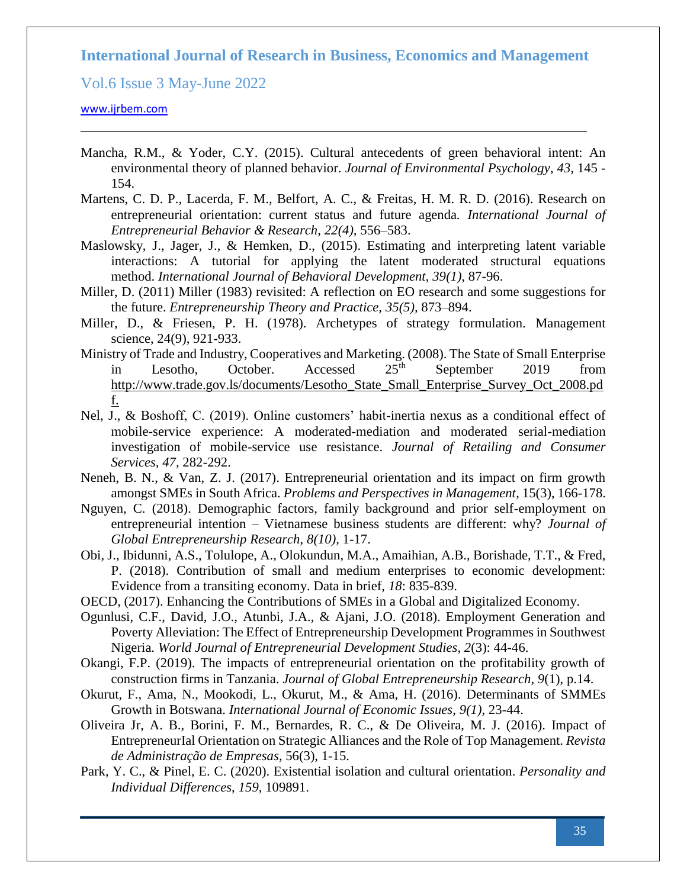Vol.6 Issue 3 May-June 2022

- Mancha, R.M., & Yoder, C.Y. (2015). Cultural antecedents of green behavioral intent: An environmental theory of planned behavior. *Journal of Environmental Psychology*, *43,* 145 - 154.
- Martens, C. D. P., Lacerda, F. M., Belfort, A. C., & Freitas, H. M. R. D. (2016). Research on entrepreneurial orientation: current status and future agenda*. International Journal of Entrepreneurial Behavior & Research, 22(4),* 556–583.
- Maslowsky, J., Jager, J., & Hemken, D., (2015). Estimating and interpreting latent variable interactions: A tutorial for applying the latent moderated structural equations method. *International Journal of Behavioral Development, 39(1),* 87-96.
- Miller, D. (2011) Miller (1983) revisited: A reflection on EO research and some suggestions for the future. *Entrepreneurship Theory and Practice, 35(5),* 873–894.
- Miller, D., & Friesen, P. H. (1978). Archetypes of strategy formulation. Management science, 24(9), 921-933.
- Ministry of Trade and Industry, Cooperatives and Marketing. (2008). The State of Small Enterprise in Lesotho, October. Accessed  $25<sup>th</sup>$  September 2019 from [http://www.trade.gov.ls/documents/Lesotho\\_State\\_Small\\_Enterprise\\_Survey\\_Oct\\_2008.pd](http://www.trade.gov.ls/documents/Lesotho_State_Small_Enterprise_Survey_Oct_2008.pdf) [f.](http://www.trade.gov.ls/documents/Lesotho_State_Small_Enterprise_Survey_Oct_2008.pdf)
- Nel, J., & Boshoff, C. (2019). Online customers' habit-inertia nexus as a conditional effect of mobile-service experience: A moderated-mediation and moderated serial-mediation investigation of mobile-service use resistance. *Journal of Retailing and Consumer Services, 47,* 282-292.
- Neneh, B. N., & Van, Z. J. (2017). Entrepreneurial orientation and its impact on firm growth amongst SMEs in South Africa. *Problems and Perspectives in Management*, 15(3), 166-178.
- Nguyen, C. (2018). Demographic factors, family background and prior self-employment on entrepreneurial intention – Vietnamese business students are different: why? *Journal of Global Entrepreneurship Research, 8(10),* 1-17.
- Obi, J., Ibidunni, A.S., Tolulope, A., Olokundun, M.A., Amaihian, A.B., Borishade, T.T., & Fred, P. (2018). Contribution of small and medium enterprises to economic development: Evidence from a transiting economy. Data in brief, *18*: 835-839.
- OECD, (2017). Enhancing the Contributions of SMEs in a Global and Digitalized Economy.
- Ogunlusi, C.F., David, J.O., Atunbi, J.A., & Ajani, J.O. (2018). Employment Generation and Poverty Alleviation: The Effect of Entrepreneurship Development Programmes in Southwest Nigeria. *World Journal of Entrepreneurial Development Studies*, *2*(3): 44-46.
- Okangi, F.P. (2019). The impacts of entrepreneurial orientation on the profitability growth of construction firms in Tanzania. *Journal of Global Entrepreneurship Research*, *9*(1), p.14.
- Okurut, F., Ama, N., Mookodi, L., Okurut, M., & Ama, H. (2016). Determinants of SMMEs Growth in Botswana. *International Journal of Economic Issues*, *9(1),* 23-44.
- Oliveira Jr, A. B., Borini, F. M., Bernardes, R. C., & De Oliveira, M. J. (2016). Impact of EntrepreneurIal Orientation on Strategic Alliances and the Role of Top Management. *Revista de Administração de Empresas,* 56(3), 1-15.
- Park, Y. C., & Pinel, E. C. (2020). Existential isolation and cultural orientation. *Personality and Individual Differences*, *159*, 109891.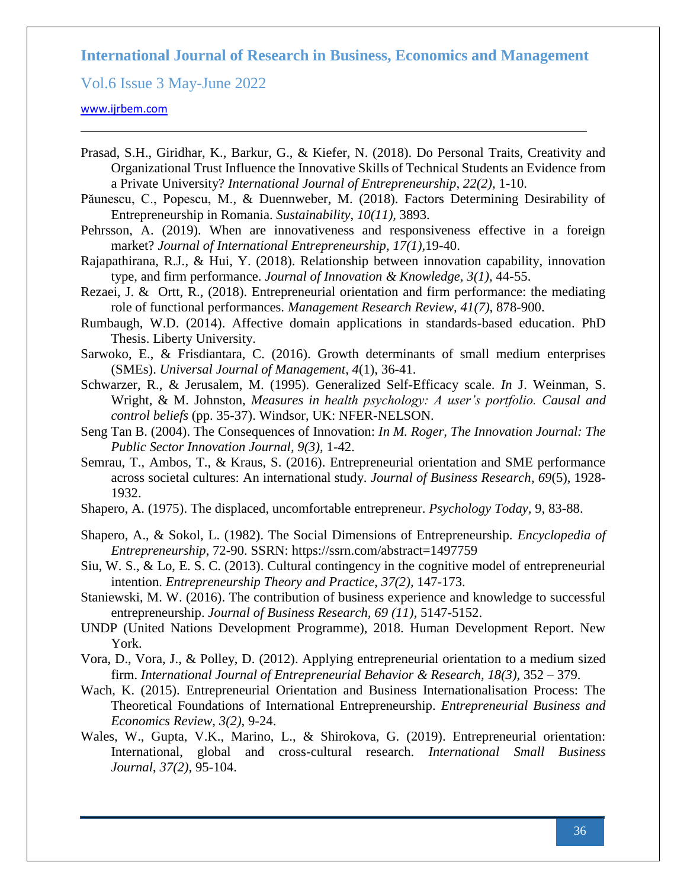Vol.6 Issue 3 May-June 2022

- Prasad, S.H., Giridhar, K., Barkur, G., & Kiefer, N. (2018). Do Personal Traits, Creativity and Organizational Trust Influence the Innovative Skills of Technical Students an Evidence from a Private University? *International Journal of Entrepreneurship*, *22(2),* 1-10.
- Păunescu, C., Popescu, M., & Duennweber, M. (2018). Factors Determining Desirability of Entrepreneurship in Romania. *Sustainability*, *10(11),* 3893.
- Pehrsson, A. (2019). When are innovativeness and responsiveness effective in a foreign market? *Journal of International Entrepreneurship, 17(1),*19-40.
- Rajapathirana, R.J., & Hui, Y. (2018). Relationship between innovation capability, innovation type, and firm performance. *Journal of Innovation & Knowledge, 3(1),* 44-55.
- Rezaei, J. & Ortt, R., (2018). Entrepreneurial orientation and firm performance: the mediating role of functional performances. *Management Research Review, 41(7),* 878-900.
- Rumbaugh, W.D. (2014). Affective domain applications in standards-based education. PhD Thesis. Liberty University.
- Sarwoko, E., & Frisdiantara, C. (2016). Growth determinants of small medium enterprises (SMEs). *Universal Journal of Management*, *4*(1), 36-41.
- Schwarzer, R., & Jerusalem, M. (1995). Generalized Self-Efficacy scale. *In* J. Weinman, S. Wright, & M. Johnston, *Measures in health psychology: A user's portfolio. Causal and control beliefs* (pp. 35-37). Windsor, UK: NFER-NELSON.
- Seng Tan B. (2004). The Consequences of Innovation: *In M. Roger, The Innovation Journal: The Public Sector Innovation Journal, 9(3),* 1-42.
- Semrau, T., Ambos, T., & Kraus, S. (2016). Entrepreneurial orientation and SME performance across societal cultures: An international study. *Journal of Business Research*, *69*(5), 1928- 1932.
- Shapero, A. (1975). The displaced, uncomfortable entrepreneur. *Psychology Today,* 9, 83-88.
- Shapero, A., & Sokol, L. (1982). The Social Dimensions of Entrepreneurship. *Encyclopedia of Entrepreneurship*, 72-90. SSRN: <https://ssrn.com/abstract=1497759>
- Siu, W. S., & Lo, E. S. C. (2013). Cultural contingency in the cognitive model of entrepreneurial intention. *Entrepreneurship Theory and Practice*, *37(2),* 147-173.
- Staniewski, M. W. (2016). [The contribution of business experience and knowledge to successful](javascript:void(0))  [entrepreneurship.](javascript:void(0)) *Journal of Business Research, 69 (11),* 5147-5152.
- UNDP (United Nations Development Programme), 2018. Human Development Report. New York.
- Vora, D., Vora, J., & Polley, D. (2012). Applying entrepreneurial orientation to a medium sized firm. *International Journal of Entrepreneurial Behavior & Research, 18(3),* 352 – 379.
- Wach, K. (2015). Entrepreneurial Orientation and Business Internationalisation Process: The Theoretical Foundations of International Entrepreneurship. *Entrepreneurial Business and Economics Review*, *3(2),* 9-24.
- Wales, W., Gupta, V.K., Marino, L., & Shirokova, G. (2019). Entrepreneurial orientation: International, global and cross-cultural research. *International Small Business Journal*, *37(2),* 95-104.